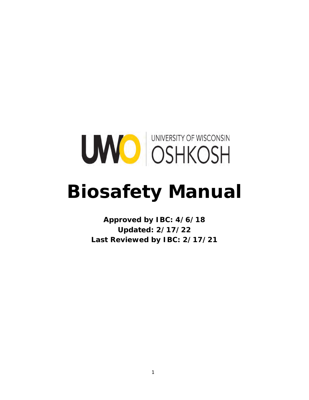

# **Biosafety Manual**

**Approved by IBC: 4/6/18 Updated: 2/17/22 Last Reviewed by IBC: 2/17/21**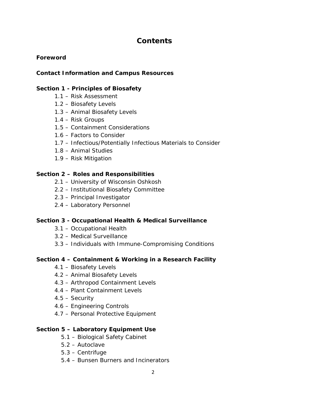# **Contents**

#### **Foreword**

#### **Contact Information and Campus Resources**

#### **Section 1 - Principles of Biosafety**

- 1.1 Risk Assessment
- 1.2 Biosafety Levels
- 1.3 Animal Biosafety Levels
- 1.4 Risk Groups
- 1.5 Containment Considerations
- 1.6 Factors to Consider
- 1.7 Infectious/Potentially Infectious Materials to Consider
- 1.8 Animal Studies
- 1.9 Risk Mitigation

#### **Section 2 – Roles and Responsibilities**

- 2.1 University of Wisconsin Oshkosh
- 2.2 Institutional Biosafety Committee
- 2.3 Principal Investigator
- 2.4 Laboratory Personnel

#### **Section 3 - Occupational Health & Medical Surveillance**

- 3.1 Occupational Health
- 3.2 Medical Surveillance
- 3.3 Individuals with Immune-Compromising Conditions

#### **Section 4 – Containment & Working in a Research Facility**

- 4.1 Biosafety Levels
- 4.2 Animal Biosafety Levels
- 4.3 Arthropod Containment Levels
- 4.4 Plant Containment Levels
- 4.5 Security
- 4.6 Engineering Controls
- 4.7 Personal Protective Equipment

#### **Section 5 – Laboratory Equipment Use**

- 5.1 Biological Safety Cabinet
- 5.2 Autoclave
- 5.3 Centrifuge
- 5.4 Bunsen Burners and Incinerators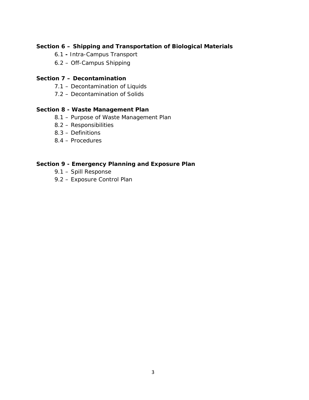#### **Section 6 – Shipping and Transportation of Biological Materials**

- 6.1 Intra-Campus Transport
- 6.2 Off-Campus Shipping

#### **Section 7 – Decontamination**

- 7.1 Decontamination of Liquids
- 7.2 Decontamination of Solids

#### **Section 8 - Waste Management Plan**

- 8.1 Purpose of Waste Management Plan
- 8.2 Responsibilities
- 8.3 Definitions
- 8.4 Procedures

#### **Section 9 - Emergency Planning and Exposure Plan**

- 9.1 Spill Response
- 9.2 Exposure Control Plan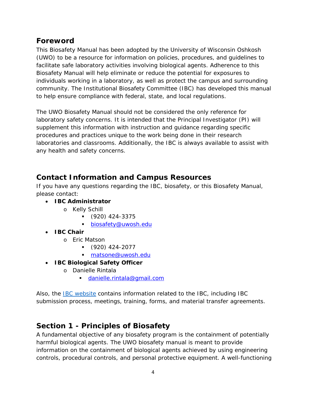# **Foreword**

This Biosafety Manual has been adopted by the University of Wisconsin Oshkosh (UWO) to be a resource for information on policies, procedures, and guidelines to facilitate safe laboratory activities involving biological agents. Adherence to this Biosafety Manual will help eliminate or reduce the potential for exposures to individuals working in a laboratory, as well as protect the campus and surrounding community. The Institutional Biosafety Committee (IBC) has developed this manual to help ensure compliance with federal, state, and local regulations.

The UWO Biosafety Manual should not be considered the only reference for laboratory safety concerns. It is intended that the Principal Investigator (PI) will supplement this information with instruction and guidance regarding specific procedures and practices unique to the work being done in their research laboratories and classrooms. Additionally, the IBC is always available to assist with any health and safety concerns.

# **Contact Information and Campus Resources**

If you have any questions regarding the IBC, biosafety, or this Biosafety Manual, please contact:

- **IBC Administrator**
	- o Kelly Schill
		- (920) 424-3375
		- [biosafety@uwosh.edu](mailto:biosafety@uwosh.edu)
- **IBC Chair**
	- o Eric Matson
		- (920) 424-2077
		- [matsone@uwosh.edu](mailto:matsone@uwosh.edu)
- **IBC Biological Safety Officer**
	- o Danielle Rintala
		- [danielle.rintala@gmail.com](mailto:danielle.rintala@gmail.com)

Also, the [IBC website](https://uwosh.edu/sponsoredprograms/ibc) contains information related to the IBC, including IBC submission process, meetings, training, forms, and material transfer agreements.

# **Section 1 - Principles of Biosafety**

A fundamental objective of any biosafety program is the containment of potentially harmful biological agents. The UWO biosafety manual is meant to provide information on the containment of biological agents achieved by using engineering controls, procedural controls, and personal protective equipment. A well-functioning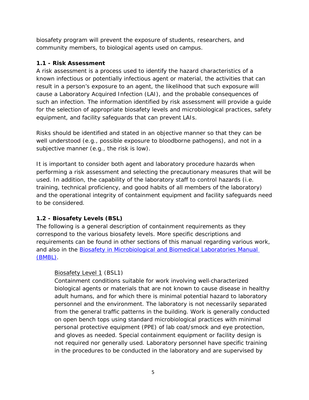biosafety program will prevent the exposure of students, researchers, and community members, to biological agents used on campus.

# **1.1 - Risk Assessment**

A risk assessment is a process used to identify the hazard characteristics of a known infectious or potentially infectious agent or material, the activities that can result in a person's exposure to an agent, the likelihood that such exposure will cause a Laboratory Acquired Infection (LAI), and the probable consequences of such an infection. The information identified by risk assessment will provide a guide for the selection of appropriate biosafety levels and microbiological practices, safety equipment, and facility safeguards that can prevent LAIs.

Risks should be identified and stated in an objective manner so that they can be well understood (e.g., possible exposure to bloodborne pathogens), and not in a subjective manner (e.g., the risk is low).

It is important to consider both agent and laboratory procedure hazards when performing a risk assessment and selecting the precautionary measures that will be used. In addition, the capability of the laboratory staff to control hazards (i.e. training, technical proficiency, and good habits of all members of the laboratory) and the operational integrity of containment equipment and facility safeguards need to be considered.

# **1.2 - Biosafety Levels (BSL)**

The following is a general description of containment requirements as they correspond to the various biosafety levels. More specific descriptions and requirements can be found in other sections of this manual regarding various work, and also in the **Biosafety in Microbiological and Biomedical Laboratories Manual** [\(BMBL\).](https://www.cdc.gov/labs/BMBL.html)

# Biosafety Level 1 (BSL1)

Containment conditions suitable for work involving well‐characterized biological agents or materials that are not known to cause disease in healthy adult humans, and for which there is minimal potential hazard to laboratory personnel and the environment. The laboratory is not necessarily separated from the general traffic patterns in the building. Work is generally conducted on open bench tops using standard microbiological practices with minimal personal protective equipment (PPE) of lab coat/smock and eye protection, and gloves as needed. Special containment equipment or facility design is not required nor generally used. Laboratory personnel have specific training in the procedures to be conducted in the laboratory and are supervised by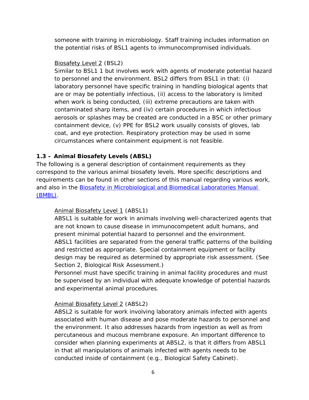someone with training in microbiology. Staff training includes information on the potential risks of BSL1 agents to immunocompromised individuals.

#### Biosafety Level 2 (BSL2)

Similar to BSL1 1 but involves work with agents of moderate potential hazard to personnel and the environment. BSL2 differs from BSL1 in that: (i) laboratory personnel have specific training in handling biological agents that are or may be potentially infectious, (ii) access to the laboratory is limited when work is being conducted, (iii) extreme precautions are taken with contaminated sharp items, and (iv) certain procedures in which infectious aerosols or splashes may be created are conducted in a BSC or other primary containment device, (v) PPE for BSL2 work usually consists of gloves, lab coat, and eye protection. Respiratory protection may be used in some circumstances where containment equipment is not feasible.

### **1.3 – Animal Biosafety Levels (ABSL)**

The following is a general description of containment requirements as they correspond to the various animal biosafety levels. More specific descriptions and requirements can be found in other sections of this manual regarding various work, and also in the [Biosafety in Microbiological and Biomedical Laboratories Manual](https://www.cdc.gov/labs/BMBL.html)  [\(BMBL\).](https://www.cdc.gov/labs/BMBL.html)

#### Animal Biosafety Level 1 (ABSL1)

ABSL1 is suitable for work in animals involving well-characterized agents that are not known to cause disease in immunocompetent adult humans, and present minimal potential hazard to personnel and the environment. ABSL1 facilities are separated from the general traffic patterns of the building and restricted as appropriate. Special containment equipment or facility design may be required as determined by appropriate risk assessment. (See Section 2, Biological Risk Assessment.)

Personnel must have specific training in animal facility procedures and must be supervised by an individual with adequate knowledge of potential hazards and experimental animal procedures.

#### Animal Biosafety Level 2 (ABSL2)

ABSL2 is suitable for work involving laboratory animals infected with agents associated with human disease and pose moderate hazards to personnel and the environment. It also addresses hazards from ingestion as well as from percutaneous and mucous membrane exposure. An important difference to consider when planning experiments at ABSL2, is that it differs from ABSL1 in that all manipulations of animals infected with agents needs to be conducted inside of containment (e.g., Biological Safety Cabinet).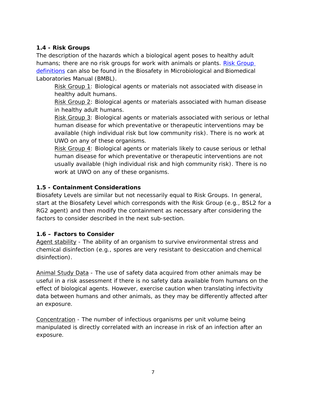# **1.4 - Risk Groups**

The description of the hazards which a biological agent poses to healthy adult humans; there are no risk groups for work with animals or plants. [Risk Group](https://www.cdc.gov/labs/BMBL.html) [definitions](https://www.cdc.gov/labs/BMBL.html) can also be found in the Biosafety in Microbiological and Biomedical Laboratories Manual (BMBL).

Risk Group 1: Biological agents or materials not associated with disease in healthy adult humans.

Risk Group 2: Biological agents or materials associated with human disease in healthy adult humans.

Risk Group 3: Biological agents or materials associated with serious or lethal human disease for which preventative or therapeutic interventions may be available (high individual risk but low community risk). There is no work at UWO on any of these organisms.

Risk Group 4: Biological agents or materials likely to cause serious or lethal human disease for which preventative or therapeutic interventions are not usually available (high individual risk and high community risk). There is no work at UWO on any of these organisms.

### **1.5 - Containment Considerations**

Biosafety Levels are similar but not necessarily equal to Risk Groups. In general, start at the Biosafety Level which corresponds with the Risk Group (e.g., BSL2 for a RG2 agent) and then modify the containment as necessary after considering the factors to consider described in the next sub-section.

#### **1.6 – Factors to Consider**

Agent stability - The ability of an organism to survive environmental stress and chemical disinfection (e.g., spores are very resistant to desiccation and chemical disinfection).

Animal Study Data - The use of safety data acquired from other animals may be useful in a risk assessment if there is no safety data available from humans on the effect of biological agents. However, exercise caution when translating infectivity data between humans and other animals, as they may be differently affected after an exposure.

Concentration - The number of infectious organisms per unit volume being manipulated is directly correlated with an increase in risk of an infection after an exposure.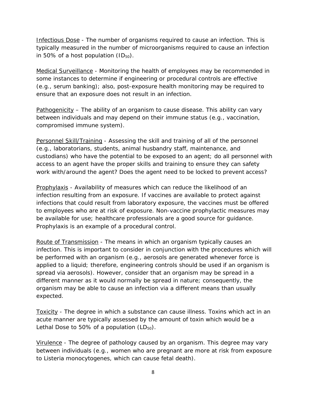Infectious Dose - The number of organisms required to cause an infection. This is typically measured in the number of microorganisms required to cause an infection in 50% of a host population  $(ID_{50})$ .

Medical Surveillance - Monitoring the health of employees may be recommended in some instances to determine if engineering or procedural controls are effective (e.g., serum banking); also, post-exposure health monitoring may be required to ensure that an exposure does not result in an infection.

Pathogenicity – The ability of an organism to cause disease. This ability can vary between individuals and may depend on their immune status (e.g., vaccination, compromised immune system).

Personnel Skill/Training - Assessing the skill and training of all of the personnel (e.g., laboratorians, students, animal husbandry staff, maintenance, and custodians) who have the potential to be exposed to an agent; do all personnel with access to an agent have the proper skills and training to ensure they can safety work with/around the agent? Does the agent need to be locked to prevent access?

Prophylaxis - Availability of measures which can reduce the likelihood of an infection resulting from an exposure. If vaccines are available to protect against infections that could result from laboratory exposure, the vaccines must be offered to employees who are at risk of exposure. Non-vaccine prophylactic measures may be available for use; healthcare professionals are a good source for guidance. Prophylaxis is an example of a procedural control.

Route of Transmission - The means in which an organism typically causes an infection. This is important to consider in conjunction with the procedures which will be performed with an organism (e.g., aerosols are generated whenever force is applied to a liquid; therefore, engineering controls should be used if an organism is spread via aerosols). However, consider that an organism may be spread in a different manner as it would normally be spread in nature; consequently, the organism may be able to cause an infection via a different means than usually expected.

Toxicity - The degree in which a substance can cause illness. Toxins which act in an acute manner are typically assessed by the amount of toxin which would be a Lethal Dose to 50% of a population  $(LD_{50})$ .

Virulence - The degree of pathology caused by an organism. This degree may vary between individuals (e.g., women who are pregnant are more at risk from exposure to *Listeria monocytogenes,* which can cause fetal death).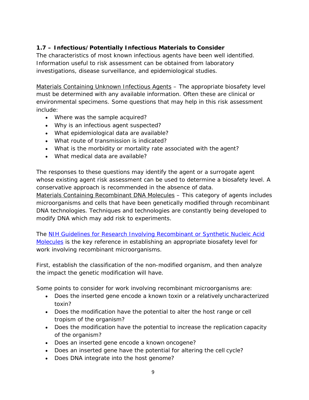# **1.7 – Infectious/Potentially Infectious Materials to Consider**

The characteristics of most known infectious agents have been well identified. Information useful to risk assessment can be obtained from laboratory investigations, disease surveillance, and epidemiological studies.

Materials Containing Unknown Infectious Agents – The appropriate biosafety level must be determined with any available information. Often these are clinical or environmental specimens. Some questions that may help in this risk assessment include:

- Where was the sample acquired?
- Why is an infectious agent suspected?
- What epidemiological data are available?
- What route of transmission is indicated?
- What is the morbidity or mortality rate associated with the agent?
- What medical data are available?

The responses to these questions may identify the agent or a surrogate agent whose existing agent risk assessment can be used to determine a biosafety level. A conservative approach is recommended in the absence of data.

Materials Containing Recombinant DNA Molecules – This category of agents includes microorganisms and cells that have been genetically modified through recombinant DNA technologies. Techniques and technologies are constantly being developed to modify DNA which may add risk to experiments.

The [NIH Guidelines for Research Involving Recombinant or Synthetic Nucleic Acid](https://osp.od.nih.gov/wp-content/uploads/2013/06/NIH_Guidelines.pdf)  [Molecules](https://osp.od.nih.gov/wp-content/uploads/2013/06/NIH_Guidelines.pdf) is the key reference in establishing an appropriate biosafety level for work involving recombinant microorganisms.

First, establish the classification of the non-modified organism, and then analyze the impact the genetic modification will have.

Some points to consider for work involving recombinant microorganisms are:

- Does the inserted gene encode a known toxin or a relatively uncharacterized toxin?
- Does the modification have the potential to alter the host range or cell tropism of the organism?
- Does the modification have the potential to increase the replication capacity of the organism?
- Does an inserted gene encode a known oncogene?
- Does an inserted gene have the potential for altering the cell cycle?
- Does DNA integrate into the host genome?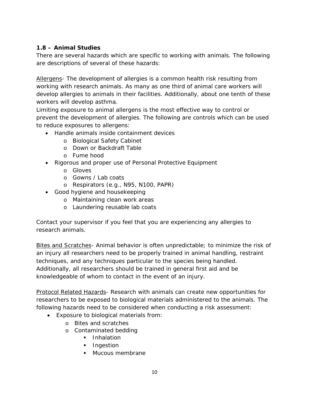# **1.8 – Animal Studies**

There are several hazards which are specific to working with animals. The following are descriptions of several of these hazards:

Allergens- The development of allergies is a common health risk resulting from working with research animals. As many as one third of animal care workers will develop allergies to animals in their facilities. Additionally, about one tenth of these workers will develop asthma.

Limiting exposure to animal allergens is the most effective way to control or prevent the development of allergies. The following are controls which can be used to reduce exposures to allergens:

- Handle animals inside containment devices
	- o Biological Safety Cabinet
	- o Down or Backdraft Table
	- o Fume hood
- Rigorous and proper use of Personal Protective Equipment
	- o Gloves
	- o Gowns / Lab coats
	- o Respirators (e.g., N95, N100, PAPR)
- Good hygiene and housekeeping
	- o Maintaining clean work areas
	- o Laundering reusable lab coats

Contact your supervisor if you feel that you are experiencing any allergies to research animals.

Bites and Scratches- Animal behavior is often unpredictable; to minimize the risk of an injury all researchers need to be properly trained in animal handling, restraint techniques, and any techniques particular to the species being handled. Additionally, all researchers should be trained in general first aid and be knowledgeable of whom to contact in the event of an injury.

Protocol Related Hazards- Research with animals can create new opportunities for researchers to be exposed to biological materials administered to the animals. The following hazards need to be considered when conducting a risk assessment:

- Exposure to biological materials from:
	- o Bites and scratches
	- o Contaminated bedding
		- **Inhalation**
		- **Ingestion**
		- **Mucous membrane**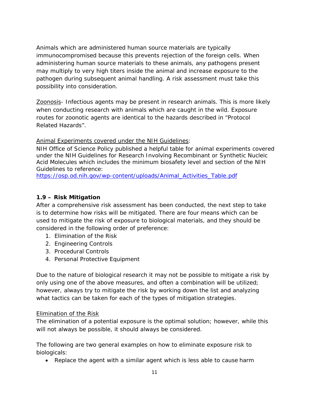Animals which are administered human source materials are typically immunocompromised because this prevents rejection of the foreign cells. When administering human source materials to these animals, any pathogens present may multiply to very high titers inside the animal and increase exposure to the pathogen during subsequent animal handling. A risk assessment must take this possibility into consideration.

Zoonosis- Infectious agents may be present in research animals. This is more likely when conducting research with animals which are caught in the wild. Exposure routes for zoonotic agents are identical to the hazards described in "Protocol Related Hazards".

#### Animal Experiments covered under the NIH Guidelines:

NIH Office of Science Policy published a helpful table for animal experiments covered under the NIH Guidelines for Research Involving Recombinant or Synthetic Nucleic Acid Molecules which includes the minimum biosafety level and section of the NIH Guidelines to reference:

[https://osp.od.nih.gov/wp-content/uploads/Animal\\_Activities\\_Table.pdf](https://osp.od.nih.gov/wp-content/uploads/Animal_Activities_Table.pdf)

## **1.9 – Risk Mitigation**

After a comprehensive risk assessment has been conducted, the next step to take is to determine how risks will be mitigated. There are four means which can be used to mitigate the risk of exposure to biological materials, and they should be considered in the following order of preference:

- 1. Elimination of the Risk
- 2. Engineering Controls
- 3. Procedural Controls
- 4. Personal Protective Equipment

Due to the nature of biological research it may not be possible to mitigate a risk by only using one of the above measures, and often a combination will be utilized; however, always try to mitigate the risk by working down the list and analyzing what tactics can be taken for each of the types of mitigation strategies.

#### Elimination of the Risk

The elimination of a potential exposure is the optimal solution; however, while this will not always be possible, it should always be considered.

The following are two general examples on how to eliminate exposure risk to biologicals:

• Replace the agent with a similar agent which is less able to cause harm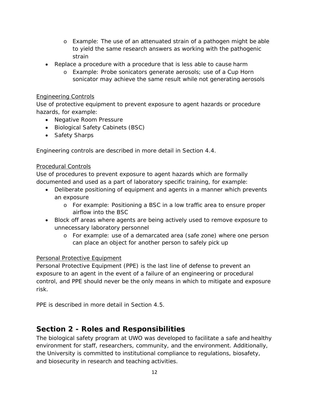- o Example: The use of an attenuated strain of a pathogen might be able to yield the same research answers as working with the pathogenic strain
- Replace a procedure with a procedure that is less able to cause harm
	- o Example: Probe sonicators generate aerosols; use of a Cup Horn sonicator may achieve the same result while not generating aerosols

#### Engineering Controls

Use of protective equipment to prevent exposure to agent hazards or procedure hazards, for example:

- Negative Room Pressure
- Biological Safety Cabinets (BSC)
- Safety Sharps

Engineering controls are described in more detail in Section 4.4.

#### Procedural Controls

Use of procedures to prevent exposure to agent hazards which are formally documented and used as a part of laboratory specific training, for example:

- Deliberate positioning of equipment and agents in a manner which prevents an exposure
	- o For example: Positioning a BSC in a low traffic area to ensure proper airflow into the BSC
- Block off areas where agents are being actively used to remove exposure to unnecessary laboratory personnel
	- o For example: use of a demarcated area (safe zone) where one person can place an object for another person to safely pick up

#### Personal Protective Equipment

Personal Protective Equipment (PPE) is the last line of defense to prevent an exposure to an agent in the event of a failure of an engineering or procedural control, and PPE should never be the only means in which to mitigate and exposure risk.

PPE is described in more detail in Section 4.5.

# **Section 2 - Roles and Responsibilities**

The biological safety program at UWO was developed to facilitate a safe and healthy environment for staff, researchers, community, and the environment. Additionally, the University is committed to institutional compliance to regulations, biosafety, and biosecurity in research and teaching activities.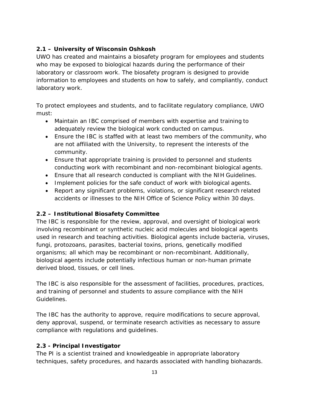# **2.1 – University of Wisconsin Oshkosh**

UWO has created and maintains a biosafety program for employees and students who may be exposed to biological hazards during the performance of their laboratory or classroom work. The biosafety program is designed to provide information to employees and students on how to safely, and compliantly, conduct laboratory work.

To protect employees and students, and to facilitate regulatory compliance, UWO must:

- Maintain an IBC comprised of members with expertise and training to adequately review the biological work conducted on campus.
- Ensure the IBC is staffed with at least two members of the community, who are not affiliated with the University, to represent the interests of the community.
- Ensure that appropriate training is provided to personnel and students conducting work with recombinant and non-recombinant biological agents.
- Ensure that all research conducted is compliant with the NIH Guidelines.
- Implement policies for the safe conduct of work with biological agents.
- Report any significant problems, violations, or significant research related accidents or illnesses to the NIH Office of Science Policy within 30 days.

# **2.2 – Institutional Biosafety Committee**

The IBC is responsible for the review, approval, and oversight of biological work involving recombinant or synthetic nucleic acid molecules and biological agents used in research and teaching activities. Biological agents include bacteria, viruses, fungi, protozoans, parasites, bacterial toxins, prions, genetically modified organisms; all which may be recombinant or non-recombinant. Additionally, biological agents include potentially infectious human or non-human primate derived blood, tissues, or cell lines.

The IBC is also responsible for the assessment of facilities, procedures, practices, and training of personnel and students to assure compliance with the NIH Guidelines.

The IBC has the authority to approve, require modifications to secure approval, deny approval, suspend, or terminate research activities as necessary to assure compliance with regulations and guidelines.

# **2.3 - Principal Investigator**

The PI is a scientist trained and knowledgeable in appropriate laboratory techniques, safety procedures, and hazards associated with handling biohazards.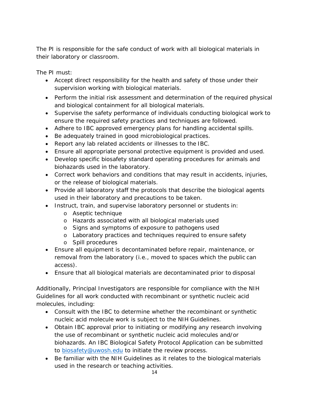The PI is responsible for the safe conduct of work with all biological materials in their laboratory or classroom.

The PI must:

- Accept direct responsibility for the health and safety of those under their supervision working with biological materials.
- Perform the initial risk assessment and determination of the required physical and biological containment for all biological materials.
- Supervise the safety performance of individuals conducting biological work to ensure the required safety practices and techniques are followed.
- Adhere to IBC approved emergency plans for handling accidental spills.
- Be adequately trained in good microbiological practices.
- Report any lab related accidents or illnesses to the IBC.
- Ensure all appropriate personal protective equipment is provided and used.
- Develop specific biosafety standard operating procedures for animals and biohazards used in the laboratory.
- Correct work behaviors and conditions that may result in accidents, injuries, or the release of biological materials.
- Provide all laboratory staff the protocols that describe the biological agents used in their laboratory and precautions to be taken.
- Instruct, train, and supervise laboratory personnel or students in:
	- o Aseptic technique
	- o Hazards associated with all biological materials used
	- o Signs and symptoms of exposure to pathogens used
	- o Laboratory practices and techniques required to ensure safety
	- o Spill procedures
- Ensure all equipment is decontaminated before repair, maintenance, or removal from the laboratory (i.e., moved to spaces which the public can access).
- Ensure that all biological materials are decontaminated prior to disposal

Additionally, Principal Investigators are responsible for compliance with the NIH Guidelines for all work conducted with recombinant or synthetic nucleic acid molecules, including:

- Consult with the IBC to determine whether the recombinant or synthetic nucleic acid molecule work is subject to the NIH Guidelines.
- Obtain IBC approval prior to initiating or modifying any research involving the use of recombinant or synthetic nucleic acid molecules and/or biohazards. An IBC Biological Safety Protocol Application can be submitted to [biosafety@uwosh.edu](mailto:biosafety@uwosh.edu) to initiate the review process.
- Be familiar with the NIH Guidelines as it relates to the biological materials used in the research or teaching activities.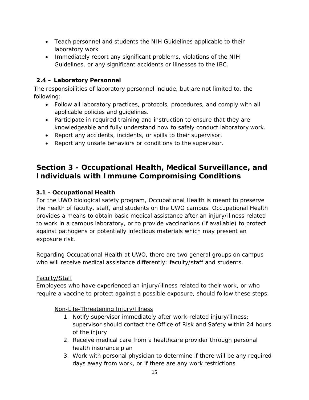- Teach personnel and students the NIH Guidelines applicable to their laboratory work
- Immediately report any significant problems, violations of the NIH Guidelines, or any significant accidents or illnesses to the IBC.

# **2.4 – Laboratory Personnel**

The responsibilities of laboratory personnel include, but are not limited to, the following:

- Follow all laboratory practices, protocols, procedures, and comply with all applicable policies and guidelines.
- Participate in required training and instruction to ensure that they are knowledgeable and fully understand how to safely conduct laboratory work.
- Report any accidents, incidents, or spills to their supervisor.
- Report any unsafe behaviors or conditions to the supervisor.

# **Section 3 - Occupational Health, Medical Surveillance, and Individuals with Immune Compromising Conditions**

# **3.1 - Occupational Health**

For the UWO biological safety program, Occupational Health is meant to preserve the health of faculty, staff, and students on the UWO campus. Occupational Health provides a means to obtain basic medical assistance after an injury/illness related to work in a campus laboratory, or to provide vaccinations (if available) to protect against pathogens or potentially infectious materials which may present an exposure risk.

Regarding Occupational Health at UWO, there are two general groups on campus who will receive medical assistance differently: faculty/staff and students.

# Faculty/Staff

Employees who have experienced an injury/illness related to their work, or who require a vaccine to protect against a possible exposure, should follow these steps:

# Non-Life-Threatening Injury/Illness

- 1. Notify supervisor immediately after work-related injury/illness; supervisor should contact the Office of Risk and Safety within 24 hours of the injury
- 2. Receive medical care from a healthcare provider through personal health insurance plan
- 3. Work with personal physician to determine if there will be any required days away from work, or if there are any work restrictions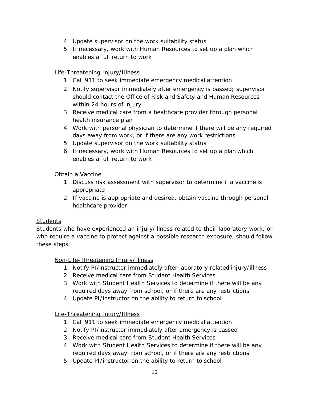- 4. Update supervisor on the work suitability status
- 5. If necessary, work with Human Resources to set up a plan which enables a full return to work

# Life-Threatening Injury/Illness

- 1. Call 911 to seek immediate emergency medical attention
- 2. Notify supervisor immediately after emergency is passed; supervisor should contact the Office of Risk and Safety and Human Resources within 24 hours of injury
- 3. Receive medical care from a healthcare provider through personal health insurance plan
- 4. Work with personal physician to determine if there will be any required days away from work, or if there are any work restrictions
- 5. Update supervisor on the work suitability status
- 6. If necessary, work with Human Resources to set up a plan which enables a full return to work

# Obtain a Vaccine

- 1. Discuss risk assessment with supervisor to determine if a vaccine is appropriate
- 2. If vaccine is appropriate and desired, obtain vaccine through personal healthcare provider

# **Students**

Students who have experienced an injury/illness related to their laboratory work, or who require a vaccine to protect against a possible research exposure, should follow these steps:

#### Non-Life-Threatening Injury/Illness

- 1. Notify PI/instructor immediately after laboratory related injury/illness
- 2. Receive medical care from Student Health Services
- 3. Work with Student Health Services to determine if there will be any required days away from school, or if there are any restrictions
- 4. Update PI/instructor on the ability to return to school

# Life-Threatening Injury/Illness

- 1. Call 911 to seek immediate emergency medical attention
- 2. Notify PI/instructor immediately after emergency is passed
- 3. Receive medical care from Student Health Services
- 4. Work with Student Health Services to determine if there will be any required days away from school, or if there are any restrictions
- 5. Update PI/instructor on the ability to return to school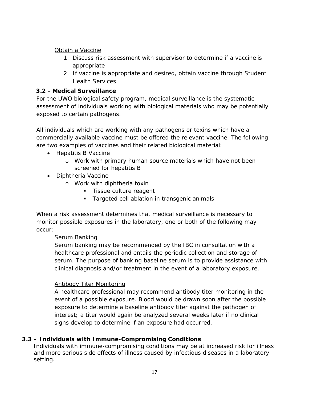Obtain a Vaccine

- 1. Discuss risk assessment with supervisor to determine if a vaccine is appropriate
- 2. If vaccine is appropriate and desired, obtain vaccine through Student Health Services

# **3.2 - Medical Surveillance**

For the UWO biological safety program, medical surveillance is the systematic assessment of individuals working with biological materials who may be potentially exposed to certain pathogens.

All individuals which are working with any pathogens or toxins which have a commercially available vaccine must be offered the relevant vaccine. The following are two examples of vaccines and their related biological material:

- Hepatitis B Vaccine
	- o Work with primary human source materials which have not been screened for hepatitis B
- Diphtheria Vaccine
	- o Work with diphtheria toxin
		- **Tissue culture reagent**
		- **Targeted cell ablation in transgenic animals**

When a risk assessment determines that medical surveillance is necessary to monitor possible exposures in the laboratory, one or both of the following may occur:

# Serum Banking

Serum banking may be recommended by the IBC in consultation with a healthcare professional and entails the periodic collection and storage of serum. The purpose of banking baseline serum is to provide assistance with clinical diagnosis and/or treatment in the event of a laboratory exposure.

# Antibody Titer Monitoring

A healthcare professional may recommend antibody titer monitoring in the event of a possible exposure. Blood would be drawn soon after the possible exposure to determine a baseline antibody titer against the pathogen of interest; a titer would again be analyzed several weeks later if no clinical signs develop to determine if an exposure had occurred.

# **3.3 – Individuals with Immune-Compromising Conditions**

Individuals with immune-compromising conditions may be at increased risk for illness and more serious side effects of illness caused by infectious diseases in a laboratory setting.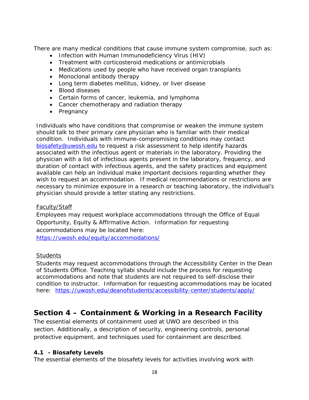There are many medical conditions that cause immune system compromise, such as:

- Infection with Human Immunodeficiency Virus (HIV)
- Treatment with corticosteroid medications or antimicrobials
- Medications used by people who have received organ transplants
- Monoclonal antibody therapy
- Long term diabetes mellitus, kidney, or liver disease
- Blood diseases
- Certain forms of cancer, leukemia, and lymphoma
- Cancer chemotherapy and radiation therapy
- Pregnancy

Individuals who have conditions that compromise or weaken the immune system should talk to their primary care physician who is familiar with their medical condition. Individuals with immune-compromising conditions may contact [biosafety@uwosh.edu](mailto:biosafety@uwosh.edu) to request a risk assessment to help identify hazards associated with the infectious agent or materials in the laboratory. Providing the physician with a list of infectious agents present in the laboratory, frequency, and duration of contact with infectious agents, and the safety practices and equipment available can help an individual make important decisions regarding whether they wish to request an accommodation. If medical recommendations or restrictions are necessary to minimize exposure in a research or teaching laboratory, the individual's physician should provide a letter stating any restrictions.

#### Faculty/Staff

Employees may request workplace accommodations through the Office of Equal Opportunity, Equity & Affirmative Action. Information for requesting accommodations may be located here:

<https://uwosh.edu/equity/accommodations/>

#### **Students**

Students may request accommodations through the Accessibility Center in the Dean of Students Office. Teaching syllabi should include the process for requesting accommodations and note that students are not required to self-disclose their condition to instructor. Information for requesting accommodations may be located here: <https://uwosh.edu/deanofstudents/accessibility-center/students/apply/>

# **Section 4 – Containment & Working in a Research Facility**

The essential elements of containment used at UWO are described in this section. Additionally, a description of security, engineering controls, personal protective equipment, and techniques used for containment are described.

#### **4.1 - Biosafety Levels**

The essential elements of the biosafety levels for activities involving work with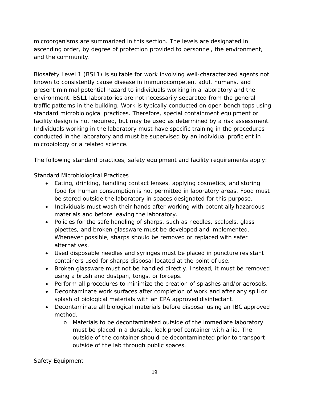microorganisms are summarized in this section. The levels are designated in ascending order, by degree of protection provided to personnel, the environment, and the community.

Biosafety Level 1 (BSL1) is suitable for work involving well-characterized agents not known to consistently cause disease in immunocompetent adult humans, and present minimal potential hazard to individuals working in a laboratory and the environment. BSL1 laboratories are not necessarily separated from the general traffic patterns in the building. Work is typically conducted on open bench tops using standard microbiological practices. Therefore, special containment equipment or facility design is not required, but may be used as determined by a risk assessment. Individuals working in the laboratory must have specific training in the procedures conducted in the laboratory and must be supervised by an individual proficient in microbiology or a related science.

The following standard practices, safety equipment and facility requirements apply:

#### *Standard Microbiological Practices*

- Eating, drinking, handling contact lenses, applying cosmetics, and storing food for human consumption is not permitted in laboratory areas. Food must be stored outside the laboratory in spaces designated for this purpose.
- Individuals must wash their hands after working with potentially hazardous materials and before leaving the laboratory.
- Policies for the safe handling of sharps, such as needles, scalpels, glass pipettes, and broken glassware must be developed and implemented. Whenever possible, sharps should be removed or replaced with safer alternatives.
- Used disposable needles and syringes must be placed in puncture resistant containers used for sharps disposal located at the point of use.
- Broken glassware must not be handled directly. Instead, it must be removed using a brush and dustpan, tongs, or forceps.
- Perform all procedures to minimize the creation of splashes and/or aerosols.
- Decontaminate work surfaces after completion of work and after any spill or splash of biological materials with an EPA approved disinfectant.
- Decontaminate all biological materials before disposal using an IBC approved method.
	- o Materials to be decontaminated outside of the immediate laboratory must be placed in a durable, leak proof container with a lid. The outside of the container should be decontaminated prior to transport outside of the lab through public spaces.

#### *Safety Equipment*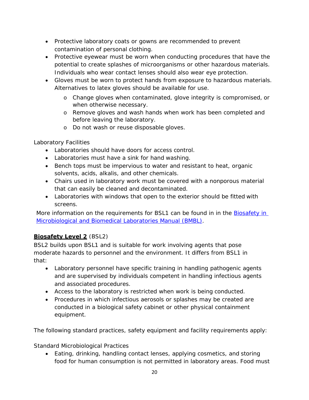- Protective laboratory coats or gowns are recommended to prevent contamination of personal clothing.
- Protective eyewear must be worn when conducting procedures that have the potential to create splashes of microorganisms or other hazardous materials. Individuals who wear contact lenses should also wear eye protection.
- Gloves must be worn to protect hands from exposure to hazardous materials. Alternatives to latex gloves should be available for use.
	- o Change gloves when contaminated, glove integrity is compromised, or when otherwise necessary.
	- o Remove gloves and wash hands when work has been completed and before leaving the laboratory.
	- o Do not wash or reuse disposable gloves.

### *Laboratory Facilities*

- Laboratories should have doors for access control.
- Laboratories must have a sink for hand washing.
- Bench tops must be impervious to water and resistant to heat, organic solvents, acids, alkalis, and other chemicals.
- Chairs used in laboratory work must be covered with a nonporous material that can easily be cleaned and decontaminated.
- Laboratories with windows that open to the exterior should be fitted with screens.

More information on the requirements for BSL1 can be found in in the **Biosafety in** [Microbiological and Biomedical Laboratories Manual \(BMBL\).](https://www.cdc.gov/labs/BMBL.html)

# **Biosafety Level 2** (BSL2)

BSL2 builds upon BSL1 and is suitable for work involving agents that pose moderate hazards to personnel and the environment. It differs from BSL1 in that:

- Laboratory personnel have specific training in handling pathogenic agents and are supervised by individuals competent in handling infectious agents and associated procedures.
- Access to the laboratory is restricted when work is being conducted.
- Procedures in which infectious aerosols or splashes may be created are conducted in a biological safety cabinet or other physical containment equipment.

The following standard practices, safety equipment and facility requirements apply:

#### *Standard Microbiological Practices*

• Eating, drinking, handling contact lenses, applying cosmetics, and storing food for human consumption is not permitted in laboratory areas. Food must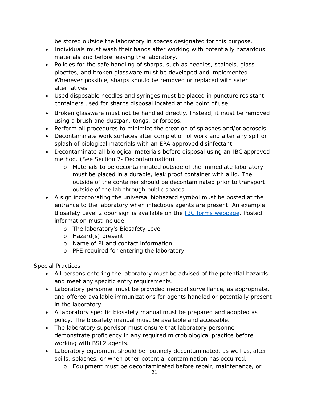be stored outside the laboratory in spaces designated for this purpose.

- Individuals must wash their hands after working with potentially hazardous materials and before leaving the laboratory.
- Policies for the safe handling of sharps, such as needles, scalpels, glass pipettes, and broken glassware must be developed and implemented. Whenever possible, sharps should be removed or replaced with safer alternatives.
- Used disposable needles and syringes must be placed in puncture resistant containers used for sharps disposal located at the point of use.
- Broken glassware must not be handled directly. Instead, it must be removed using a brush and dustpan, tongs, or forceps.
- Perform all procedures to minimize the creation of splashes and/or aerosols.
- Decontaminate work surfaces after completion of work and after any spill or splash of biological materials with an EPA approved disinfectant.
- Decontaminate all biological materials before disposal using an IBC approved method. (See Section 7- Decontamination)
	- o Materials to be decontaminated outside of the immediate laboratory must be placed in a durable, leak proof container with a lid. The outside of the container should be decontaminated prior to transport outside of the lab through public spaces.
- A sign incorporating the universal biohazard symbol must be posted at the entrance to the laboratory when infectious agents are present. An example Biosafety Level 2 door sign is available on the [IBC forms webpage.](https://uwosh.edu/sponsoredprograms/ibc/forms/) Posted information must include:
	- o The laboratory's Biosafety Level
	- o Hazard(s) present
	- o Name of PI and contact information
	- o PPE required for entering the laboratory

#### *Special Practices*

- All persons entering the laboratory must be advised of the potential hazards and meet any specific entry requirements.
- Laboratory personnel must be provided medical surveillance, as appropriate, and offered available immunizations for agents handled or potentially present in the laboratory.
- A laboratory specific biosafety manual must be prepared and adopted as policy. The biosafety manual must be available and accessible.
- The laboratory supervisor must ensure that laboratory personnel demonstrate proficiency in any required microbiological practice before working with BSL2 agents.
- Laboratory equipment should be routinely decontaminated, as well as, after spills, splashes, or when other potential contamination has occurred.
	- o Equipment must be decontaminated before repair, maintenance, or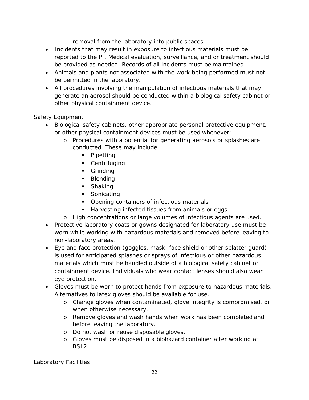removal from the laboratory into public spaces.

- Incidents that may result in exposure to infectious materials must be reported to the PI. Medical evaluation, surveillance, and or treatment should be provided as needed. Records of all incidents must be maintained.
- Animals and plants not associated with the work being performed must not be permitted in the laboratory.
- All procedures involving the manipulation of infectious materials that may generate an aerosol should be conducted within a biological safety cabinet or other physical containment device.

#### *Safety Equipment*

- Biological safety cabinets, other appropriate personal protective equipment, or other physical containment devices must be used whenever:
	- o Procedures with a potential for generating aerosols or splashes are conducted. These may include:
		- Pipetting
		- **Centrifuging**
		- **Grinding**
		- **Blending**
		- **Shaking**
		- **Sonicating**
		- **•** Opening containers of infectious materials
		- **Harvesting infected tissues from animals or eggs**
	- o High concentrations or large volumes of infectious agents are used.
- Protective laboratory coats or gowns designated for laboratory use must be worn while working with hazardous materials and removed before leaving to non-laboratory areas.
- Eye and face protection (goggles, mask, face shield or other splatter guard) is used for anticipated splashes or sprays of infectious or other hazardous materials which must be handled outside of a biological safety cabinet or containment device. Individuals who wear contact lenses should also wear eye protection.
- Gloves must be worn to protect hands from exposure to hazardous materials. Alternatives to latex gloves should be available for use.
	- o Change gloves when contaminated, glove integrity is compromised, or when otherwise necessary.
	- o Remove gloves and wash hands when work has been completed and before leaving the laboratory.
	- o Do not wash or reuse disposable gloves.
	- o Gloves must be disposed in a biohazard container after working at BSL2

*Laboratory Facilities*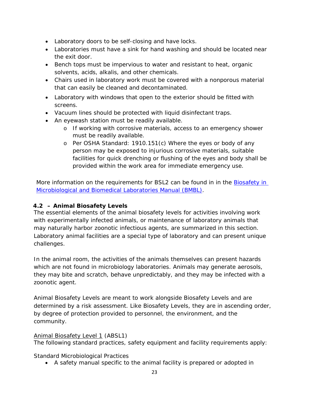- Laboratory doors to be self-closing and have locks.
- Laboratories must have a sink for hand washing and should be located near the exit door.
- Bench tops must be impervious to water and resistant to heat, organic solvents, acids, alkalis, and other chemicals.
- Chairs used in laboratory work must be covered with a nonporous material that can easily be cleaned and decontaminated.
- Laboratory with windows that open to the exterior should be fitted with screens.
- Vacuum lines should be protected with liquid disinfectant traps.
- An eyewash station must be readily available.
	- o If working with corrosive materials, access to an emergency shower must be readily available.
	- o Per OSHA Standard: 1910.151(c) Where the eyes or body of any person may be exposed to injurious corrosive materials, suitable facilities for quick drenching or flushing of the eyes and body shall be provided within the work area for immediate emergency use.

More information on the requirements for BSL2 can be found in in the **Biosafety in** [Microbiological and Biomedical Laboratories Manual \(BMBL\).](https://www.cdc.gov/labs/BMBL.html)

# **4.2 – Animal Biosafety Levels**

The essential elements of the animal biosafety levels for activities involving work with experimentally infected animals, or maintenance of laboratory animals that may naturally harbor zoonotic infectious agents, are summarized in this section. Laboratory animal facilities are a special type of laboratory and can present unique challenges.

In the animal room, the activities of the animals themselves can present hazards which are not found in microbiology laboratories. Animals may generate aerosols, they may bite and scratch, behave unpredictably, and they may be infected with a zoonotic agent.

Animal Biosafety Levels are meant to work alongside Biosafety Levels and are determined by a risk assessment. Like Biosafety Levels, they are in ascending order, by degree of protection provided to personnel, the environment, and the community.

#### Animal Biosafety Level 1 (ABSL1)

The following standard practices, safety equipment and facility requirements apply:

#### *Standard Microbiological Practices*

• A safety manual specific to the animal facility is prepared or adopted in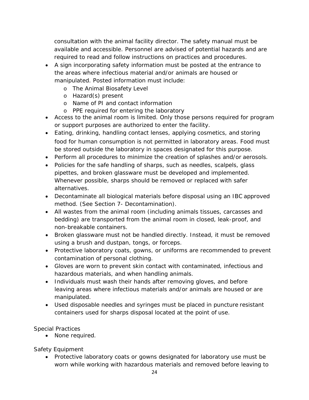consultation with the animal facility director. The safety manual must be available and accessible. Personnel are advised of potential hazards and are required to read and follow instructions on practices and procedures.

- A sign incorporating safety information must be posted at the entrance to the areas where infectious material and/or animals are housed or manipulated. Posted information must include:
	- o The Animal Biosafety Level
	- o Hazard(s) present
	- o Name of PI and contact information
	- o PPE required for entering the laboratory
- Access to the animal room is limited. Only those persons required for program or support purposes are authorized to enter the facility.
- Eating, drinking, handling contact lenses, applying cosmetics, and storing food for human consumption is not permitted in laboratory areas. Food must be stored outside the laboratory in spaces designated for this purpose.
- Perform all procedures to minimize the creation of splashes and/or aerosols.
- Policies for the safe handling of sharps, such as needles, scalpels, glass pipettes, and broken glassware must be developed and implemented. Whenever possible, sharps should be removed or replaced with safer alternatives.
- Decontaminate all biological materials before disposal using an IBC approved method. (See Section 7- Decontamination).
- All wastes from the animal room (including animals tissues, carcasses and bedding) are transported from the animal room in closed, leak-proof, and non-breakable containers.
- Broken glassware must not be handled directly. Instead, it must be removed using a brush and dustpan, tongs, or forceps.
- Protective laboratory coats, gowns, or uniforms are recommended to prevent contamination of personal clothing.
- Gloves are worn to prevent skin contact with contaminated, infectious and hazardous materials, and when handling animals.
- Individuals must wash their hands after removing gloves, and before leaving areas where infectious materials and/or animals are housed or are manipulated.
- Used disposable needles and syringes must be placed in puncture resistant containers used for sharps disposal located at the point of use.

#### *Special Practices*

• None required.

# *Safety Equipment*

• Protective laboratory coats or gowns designated for laboratory use must be worn while working with hazardous materials and removed before leaving to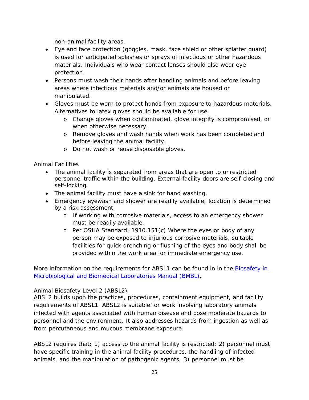non-animal facility areas.

- Eye and face protection (goggles, mask, face shield or other splatter guard) is used for anticipated splashes or sprays of infectious or other hazardous materials. Individuals who wear contact lenses should also wear eye protection.
- Persons must wash their hands after handling animals and before leaving areas where infectious materials and/or animals are housed or manipulated.
- Gloves must be worn to protect hands from exposure to hazardous materials. Alternatives to latex gloves should be available for use.
	- o Change gloves when contaminated, glove integrity is compromised, or when otherwise necessary.
	- o Remove gloves and wash hands when work has been completed and before leaving the animal facility.
	- o Do not wash or reuse disposable gloves.

### *Animal Facilities*

- The animal facility is separated from areas that are open to unrestricted personnel traffic within the building. External facility doors are self-closing and self-locking.
- The animal facility must have a sink for hand washing.
- Emergency eyewash and shower are readily available; location is determined by a risk assessment.
	- o If working with corrosive materials, access to an emergency shower must be readily available.
	- o Per OSHA Standard: 1910.151(c) Where the eyes or body of any person may be exposed to injurious corrosive materials, suitable facilities for quick drenching or flushing of the eyes and body shall be provided within the work area for immediate emergency use.

More information on the requirements for ABSL1 can be found in in the **Biosafety in** [Microbiological and Biomedical Laboratories Manual \(BMBL\).](https://www.cdc.gov/labs/BMBL.html)

#### Animal Biosafety Level 2 (ABSL2)

ABSL2 builds upon the practices, procedures, containment equipment, and facility requirements of ABSL1. ABSL2 is suitable for work involving laboratory animals infected with agents associated with human disease and pose moderate hazards to personnel and the environment. It also addresses hazards from ingestion as well as from percutaneous and mucous membrane exposure.

ABSL2 requires that: 1) access to the animal facility is restricted; 2) personnel must have specific training in the animal facility procedures, the handling of infected animals, and the manipulation of pathogenic agents; 3) personnel must be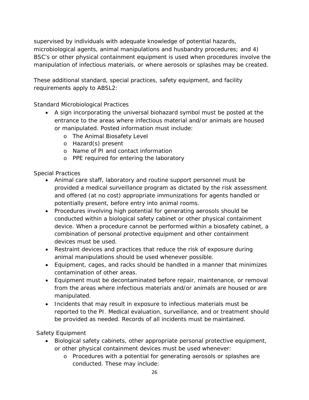supervised by individuals with adequate knowledge of potential hazards, microbiological agents, animal manipulations and husbandry procedures; and 4) BSC's or other physical containment equipment is used when procedures involve the manipulation of infectious materials, or where aerosols or splashes may be created.

These additional standard, special practices, safety equipment, and facility requirements apply to ABSL2:

#### *Standard Microbiological Practices*

- A sign incorporating the universal biohazard symbol must be posted at the entrance to the areas where infectious material and/or animals are housed or manipulated. Posted information must include:
	- o The Animal Biosafety Level
	- o Hazard(s) present
	- o Name of PI and contact information
	- o PPE required for entering the laboratory

#### *Special Practices*

- Animal care staff, laboratory and routine support personnel must be provided a medical surveillance program as dictated by the risk assessment and offered (at no cost) appropriate immunizations for agents handled or potentially present, before entry into animal rooms.
- Procedures involving high potential for generating aerosols should be conducted within a biological safety cabinet or other physical containment device. When a procedure cannot be performed within a biosafety cabinet, a combination of personal protective equipment and other containment devices must be used.
- Restraint devices and practices that reduce the risk of exposure during animal manipulations should be used whenever possible.
- Equipment, cages, and racks should be handled in a manner that minimizes contamination of other areas.
- Equipment must be decontaminated before repair, maintenance, or removal from the areas where infectious materials and/or animals are housed or are manipulated.
- Incidents that may result in exposure to infectious materials must be reported to the PI. Medical evaluation, surveillance, and or treatment should be provided as needed. Records of all incidents must be maintained.

#### *Safety Equipment*

- Biological safety cabinets, other appropriate personal protective equipment, or other physical containment devices must be used whenever:
	- o Procedures with a potential for generating aerosols or splashes are conducted. These may include: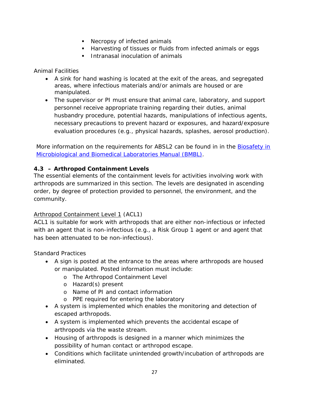- Necropsy of infected animals
- **Harvesting of tissues or fluids from infected animals or eggs**
- **Intranasal inoculation of animals**

# *Animal Facilities*

- A sink for hand washing is located at the exit of the areas, and segregated areas, where infectious materials and/or animals are housed or are manipulated.
- The supervisor or PI must ensure that animal care, laboratory, and support personnel receive appropriate training regarding their duties, animal husbandry procedure, potential hazards, manipulations of infectious agents, necessary precautions to prevent hazard or exposures, and hazard/exposure evaluation procedures (e.g., physical hazards, splashes, aerosol production).

More information on the requirements for ABSL2 can be found in in the **Biosafety in** [Microbiological and Biomedical Laboratories Manual \(BMBL\).](https://www.cdc.gov/labs/BMBL.html)

# **4.3 – Arthropod Containment Levels**

The essential elements of the containment levels for activities involving work with arthropods are summarized in this section. The levels are designated in ascending order, by degree of protection provided to personnel, the environment, and the community.

# Arthropod Containment Level 1 (ACL1)

ACL1 is suitable for work with arthropods that are either non-infectious or infected with an agent that is non-infectious (e.g., a Risk Group 1 agent or and agent that has been attenuated to be non-infectious).

# *Standard Practices*

- A sign is posted at the entrance to the areas where arthropods are housed or manipulated. Posted information must include:
	- o The Arthropod Containment Level
	- o Hazard(s) present
	- o Name of PI and contact information
	- o PPE required for entering the laboratory
- A system is implemented which enables the monitoring and detection of escaped arthropods.
- A system is implemented which prevents the accidental escape of arthropods via the waste stream.
- Housing of arthropods is designed in a manner which minimizes the possibility of human contact or arthropod escape.
- Conditions which facilitate unintended growth/incubation of arthropods are eliminated.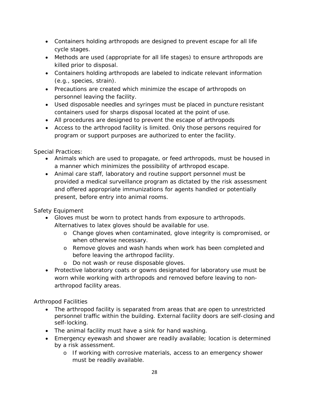- Containers holding arthropods are designed to prevent escape for all life cycle stages.
- Methods are used (appropriate for all life stages) to ensure arthropods are killed prior to disposal.
- Containers holding arthropods are labeled to indicate relevant information (e.g., species, strain).
- Precautions are created which minimize the escape of arthropods on personnel leaving the facility.
- Used disposable needles and syringes must be placed in puncture resistant containers used for sharps disposal located at the point of use.
- All procedures are designed to prevent the escape of arthropods
- Access to the arthropod facility is limited. Only those persons required for program or support purposes are authorized to enter the facility.

# *Special Practices:*

- Animals which are used to propagate, or feed arthropods, must be housed in a manner which minimizes the possibility of arthropod escape.
- Animal care staff, laboratory and routine support personnel must be provided a medical surveillance program as dictated by the risk assessment and offered appropriate immunizations for agents handled or potentially present, before entry into animal rooms.

# *Safety Equipment*

- Gloves must be worn to protect hands from exposure to arthropods. Alternatives to latex gloves should be available for use.
	- o Change gloves when contaminated, glove integrity is compromised, or when otherwise necessary.
	- o Remove gloves and wash hands when work has been completed and before leaving the arthropod facility.
	- o Do not wash or reuse disposable gloves.
- Protective laboratory coats or gowns designated for laboratory use must be worn while working with arthropods and removed before leaving to nonarthropod facility areas.

# *Arthropod Facilities*

- The arthropod facility is separated from areas that are open to unrestricted personnel traffic within the building. External facility doors are self-closing and self-locking.
- The animal facility must have a sink for hand washing.
- Emergency eyewash and shower are readily available; location is determined by a risk assessment.
	- o If working with corrosive materials, access to an emergency shower must be readily available.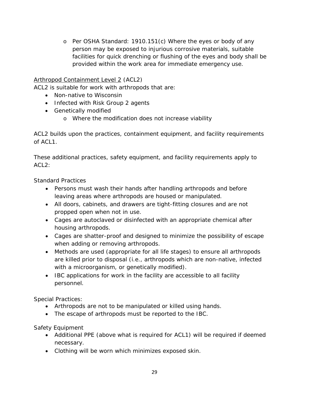o Per OSHA Standard: 1910.151(c) Where the eyes or body of any person may be exposed to injurious corrosive materials, suitable facilities for quick drenching or flushing of the eyes and body shall be provided within the work area for immediate emergency use.

#### Arthropod Containment Level 2 (ACL2)

ACL2 is suitable for work with arthropods that are:

- Non-native to Wisconsin
- Infected with Risk Group 2 agents
- Genetically modified
	- o Where the modification does not increase viability

ACL2 builds upon the practices, containment equipment, and facility requirements of ACL1.

These additional practices, safety equipment, and facility requirements apply to  $ACL2$ :

#### *Standard Practices*

- Persons must wash their hands after handling arthropods and before leaving areas where arthropods are housed or manipulated.
- All doors, cabinets, and drawers are tight-fitting closures and are not propped open when not in use.
- Cages are autoclaved or disinfected with an appropriate chemical after housing arthropods.
- Cages are shatter-proof and designed to minimize the possibility of escape when adding or removing arthropods.
- Methods are used (appropriate for all life stages) to ensure all arthropods are killed prior to disposal (i.e., arthropods which are non-native, infected with a microorganism, or genetically modified).
- IBC applications for work in the facility are accessible to all facility personnel.

#### *Special Practices:*

- Arthropods are not to be manipulated or killed using hands.
- The escape of arthropods must be reported to the IBC.

# *Safety Equipment*

- Additional PPE (above what is required for ACL1) will be required if deemed necessary.
- Clothing will be worn which minimizes exposed skin.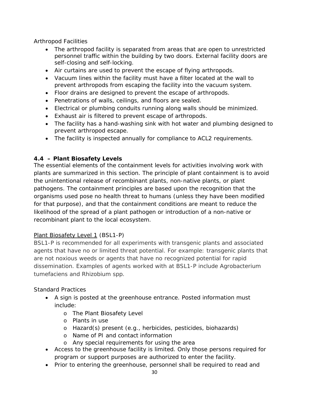# *Arthropod Facilities*

- The arthropod facility is separated from areas that are open to unrestricted personnel traffic within the building by two doors. External facility doors are self-closing and self-locking.
- Air curtains are used to prevent the escape of flying arthropods.
- Vacuum lines within the facility must have a filter located at the wall to prevent arthropods from escaping the facility into the vacuum system.
- Floor drains are designed to prevent the escape of arthropods.
- Penetrations of walls, ceilings, and floors are sealed.
- Electrical or plumbing conduits running along walls should be minimized.
- Exhaust air is filtered to prevent escape of arthropods.
- The facility has a hand-washing sink with hot water and plumbing designed to prevent arthropod escape.
- The facility is inspected annually for compliance to ACL2 requirements.

### **4.4 – Plant Biosafety Levels**

The essential elements of the containment levels for activities involving work with plants are summarized in this section. The principle of plant containment is to avoid the unintentional release of recombinant plants, non-native plants, or plant pathogens. The containment principles are based upon the recognition that the organisms used pose no health threat to humans (unless they have been modified for that purpose), and that the containment conditions are meant to reduce the likelihood of the spread of a plant pathogen or introduction of a non-native or recombinant plant to the local ecosystem.

# Plant Biosafety Level 1 (BSL1-P)

BSL1-P is recommended for all experiments with transgenic plants and associated agents that have no or limited threat potential. For example: transgenic plants that are not noxious weeds or agents that have no recognized potential for rapid dissemination. Examples of agents worked with at BSL1-P include *Agrobacterium tumefaciens* and *Rhizobium spp*.

#### *Standard Practices*

- A sign is posted at the greenhouse entrance. Posted information must include:
	- o The Plant Biosafety Level
	- o Plants in use
	- o Hazard(s) present (e.g., herbicides, pesticides, biohazards)
	- o Name of PI and contact information
	- o Any special requirements for using the area
- Access to the greenhouse facility is limited. Only those persons required for program or support purposes are authorized to enter the facility.
- Prior to entering the greenhouse, personnel shall be required to read and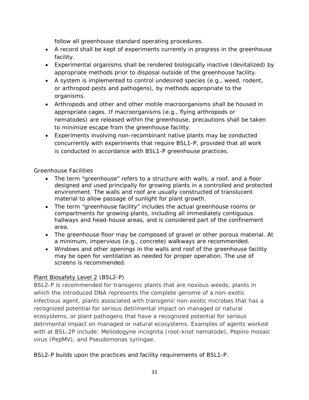follow all greenhouse standard operating procedures.

- A record shall be kept of experiments currently in progress in the greenhouse facility.
- Experimental organisms shall be rendered biologically inactive (devitalized) by appropriate methods prior to disposal outside of the greenhouse facility.
- A system is implemented to control undesired species (e.g., weed, rodent, or arthropod pests and pathogens), by methods appropriate to the organisms.
- Arthropods and other and other motile macroorganisms shall be housed in appropriate cages. If macroorganisms (e.g., flying arthropods or nematodes) are released within the greenhouse, precautions shall be taken to minimize escape from the greenhouse facility.
- Experiments involving non-recombinant native plants may be conducted concurrently with experiments that require BSL1-P, provided that all work is conducted in accordance with BSL1-P greenhouse practices.

# *Greenhouse Facilities*

- The term "greenhouse" refers to a structure with walls, a roof, and a floor designed and used principally for growing plants in a controlled and protected environment. The walls and roof are usually constructed of translucent material to allow passage of sunlight for plant growth.
- The term "greenhouse facility" includes the actual greenhouse rooms or compartments for growing plants, including all immediately contiguous hallways and head-house areas, and is considered part of the confinement area.
- The greenhouse floor may be composed of gravel or other porous material. At a minimum, impervious (e.g., concrete) walkways are recommended.
- Windows and other openings in the walls and roof of the greenhouse facility may be open for ventilation as needed for proper operation. The use of screens is recommended.

# Plant Biosafety Level 2 (BSL2-P)

BSL2-P is recommended for transgenic plants that are noxious weeds, plants in which the introduced DNA represents the complete genome of a non-exotic infectious agent, plants associated with transgenic non-exotic microbes that has a recognized potential for serious detrimental impact on managed or natural ecosystems, or plant pathogens that have a recognized potential for serious detrimental impact on managed or natural ecosystems. Examples of agents worked with at BSL-2P include: *Meliodogyne incognita* (root-knot nematode), *Pepino mosaic virus* (PepMV), and *Pseudomonas syringae*.

BSL2-P builds upon the practices and facility requirements of BSL1-P.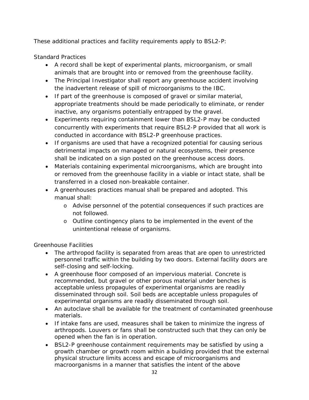These additional practices and facility requirements apply to BSL2-P:

### *Standard Practices*

- A record shall be kept of experimental plants, microorganism, or small animals that are brought into or removed from the greenhouse facility.
- The Principal Investigator shall report any greenhouse accident involving the inadvertent release of spill of microorganisms to the IBC.
- If part of the greenhouse is composed of gravel or similar material, appropriate treatments should be made periodically to eliminate, or render inactive, any organisms potentially entrapped by the gravel.
- Experiments requiring containment lower than BSL2-P may be conducted concurrently with experiments that require BSL2-P provided that all work is conducted in accordance with BSL2-P greenhouse practices.
- If organisms are used that have a recognized potential for causing serious detrimental impacts on managed or natural ecosystems, their presence shall be indicated on a sign posted on the greenhouse access doors.
- Materials containing experimental microorganisms, which are brought into or removed from the greenhouse facility in a viable or intact state, shall be transferred in a closed non-breakable container.
- A greenhouses practices manual shall be prepared and adopted. This manual shall:
	- o Advise personnel of the potential consequences if such practices are not followed.
	- o Outline contingency plans to be implemented in the event of the unintentional release of organisms.

#### *Greenhouse Facilities*

- The arthropod facility is separated from areas that are open to unrestricted personnel traffic within the building by two doors. External facility doors are self-closing and self-locking.
- A greenhouse floor composed of an impervious material. Concrete is recommended, but gravel or other porous material under benches is acceptable unless propagules of experimental organisms are readily disseminated through soil. Soil beds are acceptable unless propagules of experimental organisms are readily disseminated through soil.
- An autoclave shall be available for the treatment of contaminated greenhouse materials.
- If intake fans are used, measures shall be taken to minimize the ingress of arthropods. Louvers or fans shall be constructed such that they can only be opened when the fan is in operation.
- BSL2-P greenhouse containment requirements may be satisfied by using a growth chamber or growth room within a building provided that the external physical structure limits access and escape of microorganisms and macroorganisms in a manner that satisfies the intent of the above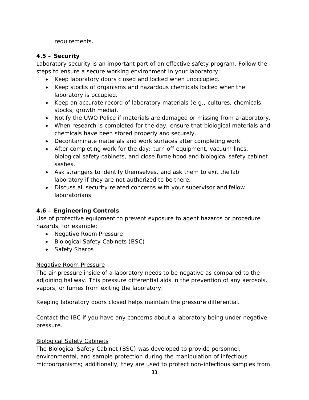requirements.

# **4.5 – Security**

Laboratory security is an important part of an effective safety program. Follow the steps to ensure a secure working environment in your laboratory:

- Keep laboratory doors closed and locked when unoccupied.
- Keep stocks of organisms and hazardous chemicals locked when the laboratory is occupied.
- Keep an accurate record of laboratory materials (e.g., cultures, chemicals, stocks, growth media).
- Notify the UWO Police if materials are damaged or missing from a laboratory.
- When research is completed for the day, ensure that biological materials and chemicals have been stored properly and securely.
- Decontaminate materials and work surfaces after completing work.
- After completing work for the day: turn off equipment, vacuum lines, biological safety cabinets, and close fume hood and biological safety cabinet sashes.
- Ask strangers to identify themselves, and ask them to exit the lab laboratory if they are not authorized to be there.
- Discuss all security related concerns with your supervisor and fellow laboratorians.

# **4.6 – Engineering Controls**

Use of protective equipment to prevent exposure to agent hazards or procedure hazards, for example:

- Negative Room Pressure
- Biological Safety Cabinets (BSC)
- Safety Sharps

# Negative Room Pressure

The air pressure inside of a laboratory needs to be negative as compared to the adjoining hallway. This pressure differential aids in the prevention of any aerosols, vapors, or fumes from exiting the laboratory.

Keeping laboratory doors closed helps maintain the pressure differential.

Contact the IBC if you have any concerns about a laboratory being under negative pressure.

# Biological Safety Cabinets

The Biological Safety Cabinet (BSC) was developed to provide personnel, environmental, and sample protection during the manipulation of infectious microorganisms; additionally, they are used to protect non-infectious samples from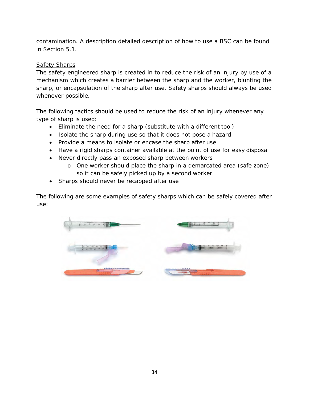contamination. A description detailed description of how to use a BSC can be found in Section 5.1.

#### Safety Sharps

The safety engineered sharp is created in to reduce the risk of an injury by use of a mechanism which creates a barrier between the sharp and the worker, blunting the sharp, or encapsulation of the sharp after use. Safety sharps should always be used whenever possible.

The following tactics should be used to reduce the risk of an injury whenever any type of sharp is used:

- Eliminate the need for a sharp (substitute with a different tool)
- Isolate the sharp during use so that it does not pose a hazard
- Provide a means to isolate or encase the sharp after use
- Have a rigid sharps container available at the point of use for easy disposal
- Never directly pass an exposed sharp between workers
	- o One worker should place the sharp in a demarcated area (safe zone) so it can be safely picked up by a second worker
- Sharps should never be recapped after use

The following are some examples of safety sharps which can be safely covered after use:

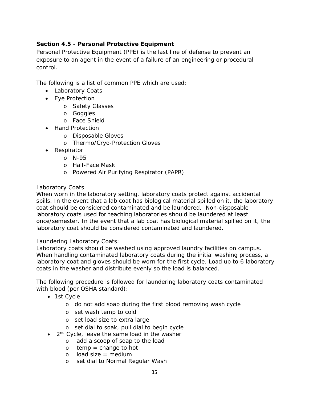## **Section 4.5 - Personal Protective Equipment**

Personal Protective Equipment (PPE) is the last line of defense to prevent an exposure to an agent in the event of a failure of an engineering or procedural control.

The following is a list of common PPE which are used:

- Laboratory Coats
- Eye Protection
	- o Safety Glasses
	- o Goggles
	- o Face Shield
- Hand Protection
	- o Disposable Gloves
	- o Thermo/Cryo-Protection Gloves
- Respirator
	- o N-95
		- o Half-Face Mask
		- o Powered Air Purifying Respirator (PAPR)

#### Laboratory Coats

When worn in the laboratory setting, laboratory coats protect against accidental spills. In the event that a lab coat has biological material spilled on it, the laboratory coat should be considered contaminated and be laundered. Non-disposable laboratory coats used for teaching laboratories should be laundered at least once/semester. In the event that a lab coat has biological material spilled on it, the laboratory coat should be considered contaminated and laundered.

#### Laundering Laboratory Coats:

Laboratory coats should be washed using approved laundry facilities on campus. When handling contaminated laboratory coats during the initial washing process, a laboratory coat and gloves should be worn for the first cycle. Load up to 6 laboratory coats in the washer and distribute evenly so the load is balanced.

The following procedure is followed for laundering laboratory coats contaminated with blood (per OSHA standard):

- 1st Cycle
	- o do not add soap during the first blood removing wash cycle
	- o set wash temp to cold
	- o set load size to extra large
	- o set dial to soak, pull dial to begin cycle
- $\bullet$  2<sup>nd</sup> Cycle, leave the same load in the washer
	- o add a scoop of soap to the load
	- $\circ$  temp = change to hot
	- $o$  load size = medium
	- o set dial to Normal Regular Wash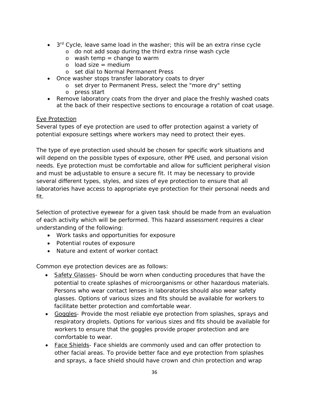- $\bullet$  3<sup>rd</sup> Cycle, leave same load in the washer; this will be an extra rinse cycle
	- o do not add soap during the third extra rinse wash cycle
	- $o$  wash temp = change to warm
	- $o$  load size = medium
	- o set dial to Normal Permanent Press
- Once washer stops transfer laboratory coats to dryer
	- o set dryer to Permanent Press, select the "more dry" setting
	- o press start
- Remove laboratory coats from the dryer and place the freshly washed coats at the back of their respective sections to encourage a rotation of coat usage.

### Eye Protection

Several types of eye protection are used to offer protection against a variety of potential exposure settings where workers may need to protect their eyes.

The type of eye protection used should be chosen for specific work situations and will depend on the possible types of exposure, other PPE used, and personal vision needs. Eye protection must be comfortable and allow for sufficient peripheral vision and must be adjustable to ensure a secure fit. It may be necessary to provide several different types, styles, and sizes of eye protection to ensure that all laboratories have access to appropriate eye protection for their personal needs and fit.

Selection of protective eyewear for a given task should be made from an evaluation of each activity which will be performed. This hazard assessment requires a clear understanding of the following:

- Work tasks and opportunities for exposure
- Potential routes of exposure
- Nature and extent of worker contact

Common eye protection devices are as follows:

- Safety Glasses- Should be worn when conducting procedures that have the potential to create splashes of microorganisms or other hazardous materials. Persons who wear contact lenses in laboratories should also wear safety glasses. Options of various sizes and fits should be available for workers to facilitate better protection and comfortable wear.
- Goggles- Provide the most reliable eye protection from splashes, sprays and respiratory droplets. Options for various sizes and fits should be available for workers to ensure that the goggles provide proper protection and are comfortable to wear.
- Face Shields- Face shields are commonly used and can offer protection to other facial areas. To provide better face and eye protection from splashes and sprays, a face shield should have crown and chin protection and wrap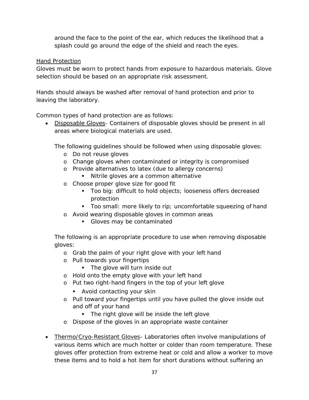around the face to the point of the ear, which reduces the likelihood that a splash could go around the edge of the shield and reach the eyes.

#### Hand Protection

Gloves must be worn to protect hands from exposure to hazardous materials. Glove selection should be based on an appropriate risk assessment.

Hands should always be washed after removal of hand protection and prior to leaving the laboratory.

Common types of hand protection are as follows:

• Disposable Gloves- Containers of disposable gloves should be present in all areas where biological materials are used.

The following guidelines should be followed when using disposable gloves:

- o Do not reuse gloves
- o Change gloves when contaminated or integrity is compromised
- o Provide alternatives to latex (due to allergy concerns)
	- Nitrile gloves are a common alternative
- o Choose proper glove size for good fit
	- Too big: difficult to hold objects; looseness offers decreased protection
	- Too small: more likely to rip; uncomfortable squeezing of hand
- o Avoid wearing disposable gloves in common areas
	- Gloves may be contaminated

The following is an appropriate procedure to use when removing disposable gloves:

- o Grab the palm of your right glove with your left hand
- o Pull towards your fingertips
	- The glove will turn inside out
- o Hold onto the empty glove with your left hand
- o Put two right-hand fingers in the top of your left glove
	- **Avoid contacting your skin**
- o Pull toward your fingertips until you have pulled the glove inside out and off of your hand
	- The right glove will be inside the left glove
- o Dispose of the gloves in an appropriate waste container
- Thermo/Cryo-Resistant Gloves- Laboratories often involve manipulations of various items which are much hotter or colder than room temperature. These gloves offer protection from extreme heat or cold and allow a worker to move these items and to hold a hot item for short durations without suffering an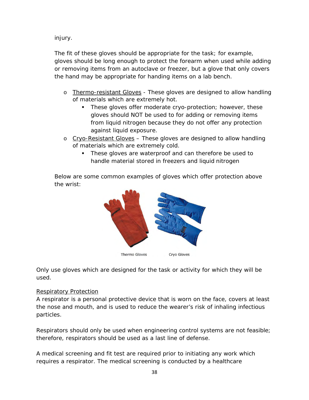injury.

The fit of these gloves should be appropriate for the task; for example, gloves should be long enough to protect the forearm when used while adding or removing items from an autoclave or freezer, but a glove that only covers the hand may be appropriate for handing items on a lab bench.

- o Thermo-resistant Gloves These gloves are designed to allow handling of materials which are extremely hot.
	- **These gloves offer moderate cryo-protection; however, these** gloves should NOT be used to for adding or removing items from liquid nitrogen because they do not offer any protection against liquid exposure.
- o Cryo-Resistant Gloves These gloves are designed to allow handling of materials which are extremely cold.
	- These gloves are waterproof and can therefore be used to handle material stored in freezers and liquid nitrogen

Below are some common examples of gloves which offer protection above the wrist:



Only use gloves which are designed for the task or activity for which they will be used.

# Respiratory Protection

A respirator is a personal protective device that is worn on the face, covers at least the nose and mouth, and is used to reduce the wearer's risk of inhaling infectious particles.

Respirators should only be used when engineering control systems are not feasible; therefore, respirators should be used as a last line of defense.

A medical screening and fit test are required prior to initiating any work which requires a respirator. The medical screening is conducted by a healthcare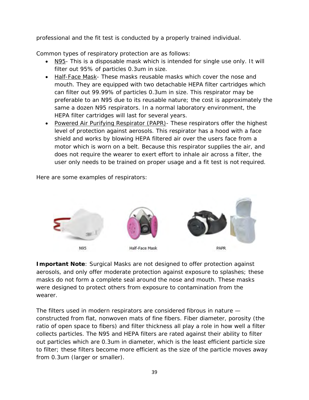professional and the fit test is conducted by a properly trained individual.

Common types of respiratory protection are as follows:

- N95- This is a disposable mask which is intended for single use only. It will filter out 95% of particles 0.3um in size.
- Half-Face Mask- These masks reusable masks which cover the nose and mouth. They are equipped with two detachable HEPA filter cartridges which can filter out 99.99% of particles 0.3um in size. This respirator may be preferable to an N95 due to its reusable nature; the cost is approximately the same a dozen N95 respirators. In a normal laboratory environment, the HEPA filter cartridges will last for several years.
- Powered Air Purifying Respirator (PAPR)- These respirators offer the highest level of protection against aerosols. This respirator has a hood with a face shield and works by blowing HEPA filtered air over the users face from a motor which is worn on a belt. Because this respirator supplies the air, and does not require the wearer to exert effort to inhale air across a filter, the user only needs to be trained on proper usage and a fit test is not required.

Here are some examples of respirators:



**Important Note**: Surgical Masks are not designed to offer protection against aerosols, and only offer moderate protection against exposure to splashes; these masks do not form a complete seal around the nose and mouth. These masks were designed to protect others from exposure to contamination from the wearer.

The filters used in modern respirators are considered fibrous in nature constructed from flat, nonwoven mats of fine fibers. Fiber diameter, porosity (the ratio of open space to fibers) and filter thickness all play a role in how well a filter collects particles. The N95 and HEPA filters are rated against their ability to filter out particles which are 0.3um in diameter, which is the least efficient particle size to filter; these filters become more efficient as the size of the particle moves away from 0.3um (larger *or* smaller).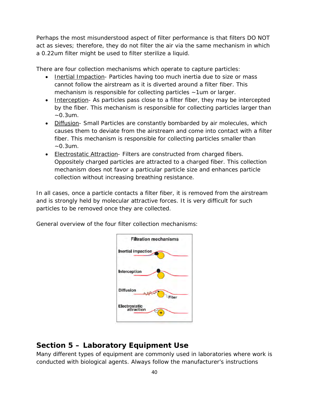Perhaps the most misunderstood aspect of filter performance is that filters DO NOT act as sieves; therefore, they do not filter the air via the same mechanism in which a 0.22um filter might be used to filter sterilize a liquid.

There are four collection mechanisms which operate to capture particles:

- Inertial Impaction- Particles having too much inertia due to size or mass cannot follow the airstream as it is diverted around a filter fiber. This mechanism is responsible for collecting particles ~1um or larger.
- Interception- As particles pass close to a filter fiber, they may be intercepted by the fiber. This mechanism is responsible for collecting particles larger than  $-0.3$ um.
- Diffusion- Small Particles are constantly bombarded by air molecules, which causes them to deviate from the airstream and come into contact with a filter fiber. This mechanism is responsible for collecting particles smaller than  $~0.3$ um.
- Electrostatic Attraction- Filters are constructed from charged fibers. Oppositely charged particles are attracted to a charged fiber. This collection mechanism does not favor a particular particle size and enhances particle collection without increasing breathing resistance.

In all cases, once a particle contacts a filter fiber, it is removed from the airstream and is strongly held by molecular attractive forces. It is very difficult for such particles to be removed once they are collected.

General overview of the four filter collection mechanisms:



# **Section 5 – Laboratory Equipment Use**

Many different types of equipment are commonly used in laboratories where work is conducted with biological agents. Always follow the manufacturer's instructions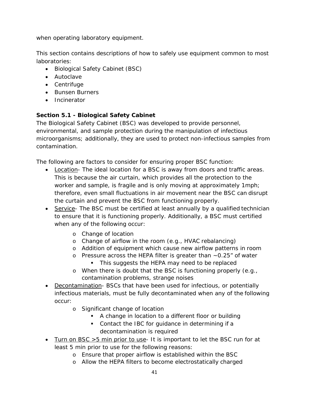when operating laboratory equipment.

This section contains descriptions of how to safely use equipment common to most laboratories:

- Biological Safety Cabinet (BSC)
- Autoclave
- Centrifuge
- Bunsen Burners
- Incinerator

# **Section 5.1 - Biological Safety Cabinet**

The Biological Safety Cabinet (BSC) was developed to provide personnel, environmental, and sample protection during the manipulation of infectious microorganisms; additionally, they are used to protect non-infectious samples from contamination.

The following are factors to consider for ensuring proper BSC function:

- Location- The ideal location for a BSC is away from doors and traffic areas. This is because the air curtain, which provides all the protection to the worker and sample, is fragile and is only moving at approximately 1mph; therefore, even small fluctuations in air movement near the BSC can disrupt the curtain and prevent the BSC from functioning properly.
- Service- The BSC must be certified at least annually by a qualified technician to ensure that it is functioning properly. Additionally, a BSC must certified when any of the following occur:
	- o Change of location
	- o Change of airflow in the room (e.g., HVAC rebalancing)
	- o Addition of equipment which cause new airflow patterns in room
	- o Pressure across the HEPA filter is greater than ~0.25" of water
		- **This suggests the HEPA may need to be replaced**
	- o When there is doubt that the BSC is functioning properly (e.g., contamination problems, strange noises
- Decontamination- BSCs that have been used for infectious, or potentially infectious materials, must be fully decontaminated when any of the following occur:
	- o Significant change of location
		- A change in location to a different floor or building
		- Contact the IBC for guidance in determining if a decontamination is required
- Turn on BSC >5 min prior to use- It is important to let the BSC run for at least 5 min prior to use for the following reasons:
	- o Ensure that proper airflow is established within the BSC
	- o Allow the HEPA filters to become electrostatically charged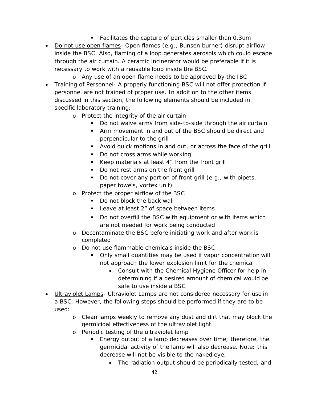- Facilitates the capture of particles smaller than 0.3um
- Do not use open flames- Open flames (e.g., Bunsen burner) disrupt airflow inside the BSC. Also, flaming of a loop generates aerosols which could escape through the air curtain. A ceramic incinerator would be preferable if it is necessary to work with a reusable loop inside the BSC.
- o Any use of an open flame needs to be approved by the IBC • Training of Personnel- A properly functioning BSC will not offer protection if personnel are not trained of proper use. In addition to the other items discussed in this section, the following elements should be included in specific laboratory training:
	- o Protect the integrity of the air curtain
		- Do not waive arms from side-to-side through the air curtain
		- **F** Arm movement in and out of the BSC should be direct and perpendicular to the grill
		- Avoid quick motions in and out, or across the face of the grill
		- Do not cross arms while working
		- Keep materials at least 4" from the front grill
		- Do not rest arms on the front grill
		- Do not cover any portion of front grill (e.g., with pipets, paper towels, vortex unit)
	- o Protect the proper airflow of the BSC
		- Do not block the back wall
		- **Leave at least 2" of space between items**
		- Do not overfill the BSC with equipment or with items which are not needed for work being conducted
	- o Decontaminate the BSC before initiating work and after work is completed
	- o Do not use flammable chemicals inside the BSC
		- Only small quantities may be used if vapor concentration will not approach the lower explosion limit for the chemical
			- Consult with the Chemical Hygiene Officer for help in determining if a desired amount of chemical would be safe to use inside a BSC
- Ultraviolet Lamps- Ultraviolet Lamps are not considered necessary for use in a BSC. However, the following steps should be performed if they are to be used:
	- o Clean lamps weekly to remove any dust and dirt that may block the germicidal effectiveness of the ultraviolet light
	- o Periodic testing of the ultraviolet lamp
		- **Energy output of a lamp decreases over time; therefore, the** germicidal activity of the lamp will also decrease. Note: this decrease will not be visible to the naked eye.
			- The radiation output should be periodically tested, and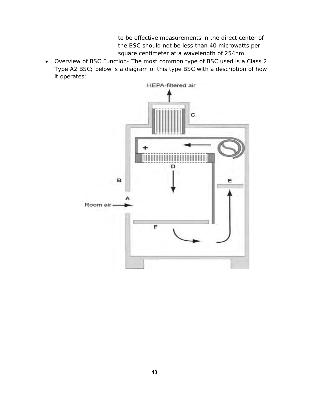to be effective measurements in the direct center of the BSC should not be less than 40 microwatts per square centimeter at a wavelength of 254nm.

• Overview of BSC Function- The most common type of BSC used is a Class 2 Type A2 BSC; below is a diagram of this type BSC with a description of how it operates:

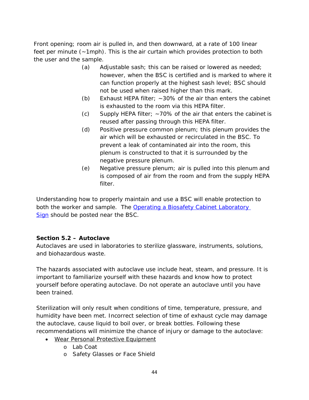Front opening; room air is pulled in, and then downward, at a rate of 100 linear feet per minute (~1mph). This is the air curtain which provides protection to both the user and the sample.

- (a) Adjustable sash; this can be raised or lowered as needed; however, when the BSC is certified and is marked to where it can function properly at the highest sash level; BSC should not be used when raised higher than this mark.
- (b) Exhaust HEPA filter:  $\sim$  30% of the air than enters the cabinet is exhausted to the room via this HEPA filter.
- (c) Supply HEPA filter;  $\sim$  70% of the air that enters the cabinet is reused after passing through this HEPA filter.
- (d) Positive pressure common plenum; this plenum provides the air which will be exhausted or recirculated in the BSC. To prevent a leak of contaminated air into the room, this plenum is constructed to that it is surrounded by the negative pressure plenum.
- (e) Negative pressure plenum; air is pulled into this plenum and is composed of air from the room and from the supply HEPA filter.

Understanding how to properly maintain and use a BSC will enable protection to both the worker and sample. The [Operating a Biosafety](https://uwosh.edu/sponsoredprograms/ibc/forms/) Cabinet Laboratory [Sign](https://uwosh.edu/sponsoredprograms/ibc/forms/) should be posted near the BSC.

# **Section 5.2 – Autoclave**

Autoclaves are used in laboratories to sterilize glassware, instruments, solutions, and biohazardous waste.

The hazards associated with autoclave use include heat, steam, and pressure. It is important to familiarize yourself with these hazards and know how to protect yourself before operating autoclave. Do not operate an autoclave until you have been trained.

Sterilization will only result when conditions of time, temperature, pressure, and humidity have been met. Incorrect selection of time of exhaust cycle may damage the autoclave, cause liquid to boil over, or break bottles. Following these recommendations will minimize the chance of injury or damage to the autoclave:

- Wear Personal Protective Equipment
	- o Lab Coat
	- o Safety Glasses or Face Shield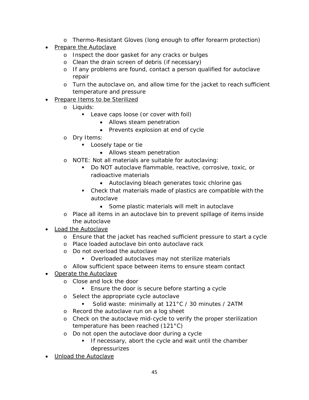- o Thermo-Resistant Gloves (long enough to offer forearm protection)
- Prepare the Autoclave
	- o Inspect the door gasket for any cracks or bulges
	- o Clean the drain screen of debris (if necessary)
	- o If any problems are found, contact a person qualified for autoclave repair
	- o Turn the autoclave on, and allow time for the jacket to reach sufficient temperature and pressure
- Prepare Items to be Sterilized
	- o Liquids:
		- Leave caps loose (or cover with foil)
			- Allows steam penetration
			- Prevents explosion at end of cycle
	- o Dry Items:
		- **Loosely tape or tie** 
			- Allows steam penetration
	- o NOTE: Not all materials are suitable for autoclaving:
		- Do NOT autoclave flammable, reactive, corrosive, toxic, or radioactive materials
			- Autoclaving bleach generates toxic chlorine gas
		- Check that materials made of plastics are compatible with the autoclave
			- Some plastic materials will melt in autoclave
	- o Place all items in an autoclave bin to prevent spillage of items inside the autoclave
- Load the Autoclave
	- o Ensure that the jacket has reached sufficient pressure to start a cycle
	- o Place loaded autoclave bin onto autoclave rack
	- o Do not overload the autoclave
		- **Dianglering** Overloaded autoclaves may not sterilize materials
	- o Allow sufficient space between items to ensure steam contact
- Operate the Autoclave
	- o Close and lock the door
		- **Ensure the door is secure before starting a cycle**
	- o Select the appropriate cycle autoclave
		- Solid waste: minimally at 121°C / 30 minutes / 2ATM
	- o Record the autoclave run on a log sheet
	- o Check on the autoclave mid-cycle to verify the proper sterilization temperature has been reached (121°C)
	- o Do not open the autoclave door during a cycle
		- **If necessary, abort the cycle and wait until the chamber** depressurizes
- Unload the Autoclave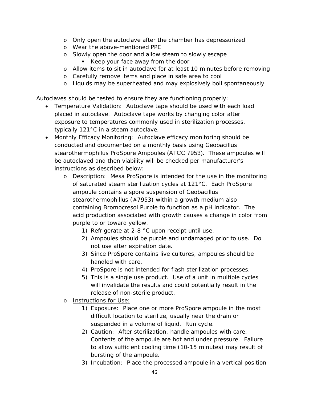- o Only open the autoclave after the chamber has depressurized
- o Wear the above-mentioned PPE
- o Slowly open the door and allow steam to slowly escape
	- Keep your face away from the door
- o Allow items to sit in autoclave for at least 10 minutes before removing
- o Carefully remove items and place in safe area to cool
- o Liquids may be superheated and may explosively boil spontaneously

Autoclaves should be tested to ensure they are functioning properly:

- Temperature Validation:Autoclave tape should be used with each load placed in autoclave. Autoclave tape works by changing color after exposure to temperatures commonly used in sterilization processes, typically 121°C in a steam autoclave.
- Monthly Efficacy Monitoring: Autoclave efficacy monitoring should be conducted and documented on a monthly basis using *Geobacillus stearothermophilus* ProSpore Ampoules (ATCC 7953). These ampoules will be autoclaved and then viability will be checked per manufacturer's instructions as described below:
	- o Description: Mesa ProSpore is intended for the use in the monitoring of saturated steam sterilization cycles at 121°C. Each ProSpore ampoule contains a spore suspension of *Geobacillus stearothermophillus* (#7953) within a growth medium also containing Bromocresol Purple to function as a pH indicator. The acid production associated with growth causes a change in color from purple to or toward yellow.
		- 1) Refrigerate at 2-8 °C upon receipt until use.
		- 2) Ampoules should be purple and undamaged prior to use. Do not use after expiration date.
		- 3) Since ProSpore contains live cultures, ampoules should be handled with care.
		- 4) ProSpore is not intended for flash sterilization processes.
		- 5) This is a single use product. Use of a unit in multiple cycles will invalidate the results and could potentially result in the release of non-sterile product.
	- o Instructions for Use:
		- 1) Exposure: Place one or more ProSpore ampoule in the most difficult location to sterilize, usually near the drain or suspended in a volume of liquid. Run cycle.
		- 2) Caution: After sterilization, handle ampoules with care. Contents of the ampoule are hot and under pressure. Failure to allow sufficient cooling time (10-15 minutes) may result of bursting of the ampoule.
		- 3) Incubation: Place the processed ampoule in a vertical position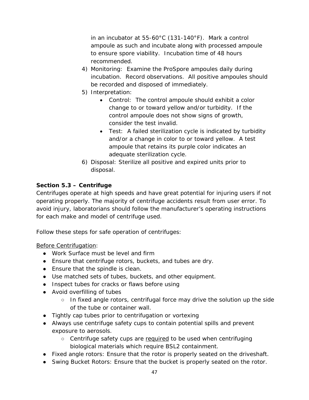in an incubator at 55-60°C (131-140°F). Mark a control ampoule as such and incubate along with processed ampoule to ensure spore viability. Incubation time of 48 hours recommended.

- 4) Monitoring: Examine the ProSpore ampoules daily during incubation. Record observations. All positive ampoules should be recorded and disposed of immediately.
- 5) Interpretation:
	- Control: The control ampoule should exhibit a color change to or toward yellow and/or turbidity. If the control ampoule does not show signs of growth, consider the test invalid.
	- Test: A failed sterilization cycle is indicated by turbidity and/or a change in color to or toward yellow. A test ampoule that retains its purple color indicates an adequate sterilization cycle.
- 6) Disposal: Sterilize all positive and expired units prior to disposal.

# **Section 5.3 – Centrifuge**

Centrifuges operate at high speeds and have great potential for injuring users if not operating properly. The majority of centrifuge accidents result from user error. To avoid injury, laboratorians should follow the manufacturer's operating instructions for each make and model of centrifuge used.

Follow these steps for safe operation of centrifuges:

# Before Centrifugation:

- Work Surface must be level and firm
- Ensure that centrifuge rotors, buckets, and tubes are dry.
- Ensure that the spindle is clean.
- Use matched sets of tubes, buckets, and other equipment.
- Inspect tubes for cracks or flaws before using
- Avoid overfilling of tubes
	- In fixed angle rotors, centrifugal force may drive the solution up the side of the tube or container wall.
- Tightly cap tubes prior to centrifugation or vortexing
- Always use centrifuge safety cups to contain potential spills and prevent exposure to aerosols.
	- Centrifuge safety cups are required to be used when centrifuging biological materials which require BSL2 containment.
- Fixed angle rotors: Ensure that the rotor is properly seated on the driveshaft.
- Swing Bucket Rotors: Ensure that the bucket is properly seated on the rotor.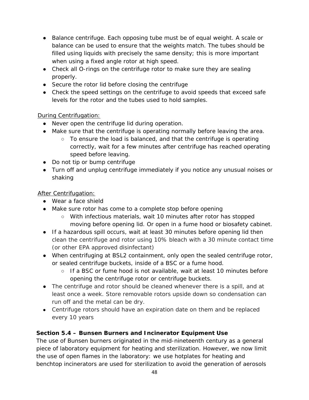- Balance centrifuge. Each opposing tube must be of equal weight. A scale or balance can be used to ensure that the weights match. The tubes should be filled using liquids with precisely the same density; this is more important when using a fixed angle rotor at high speed.
- Check all O-rings on the centrifuge rotor to make sure they are sealing properly.
- Secure the rotor lid before closing the centrifuge
- Check the speed settings on the centrifuge to avoid speeds that exceed safe levels for the rotor and the tubes used to hold samples.

# During Centrifugation:

- Never open the centrifuge lid during operation.
- Make sure that the centrifuge is operating normally before leaving the area.
	- To ensure the load is balanced, and that the centrifuge is operating correctly, wait for a few minutes after centrifuge has reached operating speed before leaving.
- Do not tip or bump centrifuge
- Turn off and unplug centrifuge immediately if you notice any unusual noises or shaking

# After Centrifugation:

- Wear a face shield
- Make sure rotor has come to a complete stop before opening
	- With infectious materials, wait 10 minutes after rotor has stopped moving before opening lid. Or open in a fume hood or biosafety cabinet.
- If a hazardous spill occurs, wait at least 30 minutes before opening lid then clean the centrifuge and rotor using 10% bleach with a 30 minute contact time (or other EPA approved disinfectant)
- When centrifuging at BSL2 containment, only open the sealed centrifuge rotor, or sealed centrifuge buckets, inside of a BSC or a fume hood.
	- If a BSC or fume hood is not available, wait at least 10 minutes before opening the centrifuge rotor or centrifuge buckets.
- The centrifuge and rotor should be cleaned whenever there is a spill, and at least once a week. Store removable rotors upside down so condensation can run off and the metal can be dry.
- Centrifuge rotors should have an expiration date on them and be replaced every 10 years

# **Section 5.4 – Bunsen Burners and Incinerator Equipment Use**

The use of Bunsen burners originated in the mid-nineteenth century as a general piece of laboratory equipment for heating and sterilization. However, we now limit the use of open flames in the laboratory: we use hotplates for heating and benchtop incinerators are used for sterilization to avoid the generation of aerosols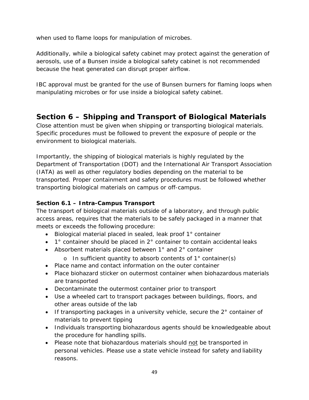when used to flame loops for manipulation of microbes.

Additionally, while a biological safety cabinet may protect against the generation of aerosols, use of a Bunsen inside a biological safety cabinet is not recommended because the heat generated can disrupt proper airflow.

IBC approval must be granted for the use of Bunsen burners for flaming loops when manipulating microbes or for use inside a biological safety cabinet.

# **Section 6 – Shipping and Transport of Biological Materials**

Close attention must be given when shipping or transporting biological materials. Specific procedures must be followed to prevent the exposure of people or the environment to biological materials.

Importantly, the shipping of biological materials is highly regulated by the Department of Transportation (DOT) and the International Air Transport Association (IATA) as well as other regulatory bodies depending on the material to be transported. Proper containment and safety procedures must be followed whether transporting biological materials on campus or off-campus.

# **Section 6.1 – Intra-Campus Transport**

The transport of biological materials outside of a laboratory, and through public access areas, requires that the materials to be safely packaged in a manner that meets or exceeds the following procedure:

- Biological material placed in sealed, leak proof 1° container
- 1° container should be placed in 2° container to contain accidental leaks
- Absorbent materials placed between 1° and 2° container
	- o In sufficient quantity to absorb contents of 1° container(s)
- Place name and contact information on the outer container
- Place biohazard sticker on outermost container when biohazardous materials are transported
- Decontaminate the outermost container prior to transport
- Use a wheeled cart to transport packages between buildings, floors, and other areas outside of the lab
- If transporting packages in a university vehicle, secure the  $2^\circ$  container of materials to prevent tipping
- Individuals transporting biohazardous agents should be knowledgeable about the procedure for handling spills.
- Please note that biohazardous materials should not be transported in personal vehicles. Please use a state vehicle instead for safety and liability reasons.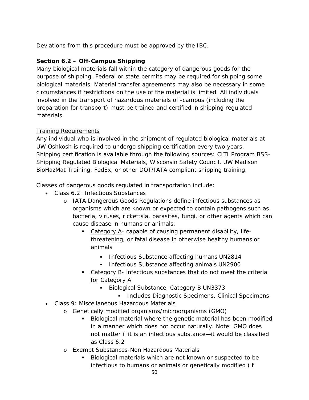Deviations from this procedure must be approved by the IBC.

# **Section 6.2 – Off-Campus Shipping**

Many biological materials fall within the category of dangerous goods for the purpose of shipping. Federal or state permits may be required for shipping some biological materials. Material transfer agreements may also be necessary in some circumstances if restrictions on the use of the material is limited. All individuals involved in the transport of hazardous materials off-campus (including the preparation for transport) must be trained and certified in shipping regulated materials.

# Training Requirements

Any individual who is involved in the shipment of regulated biological materials at UW Oshkosh is required to undergo shipping certification every two years. Shipping certification is available through the following sources: CITI Program BSS-Shipping Regulated Biological Materials, Wisconsin Safety Council, UW Madison BioHazMat Training, FedEx, or other DOT/IATA compliant shipping training.

Classes of dangerous goods regulated in transportation include:

- Class 6.2: Infectious Substances
	- o IATA Dangerous Goods Regulations define infectious substances as organisms which are known or expected to contain pathogens such as bacteria, viruses, rickettsia, parasites, fungi, or other agents which can cause disease in humans or animals.
		- Category A- capable of causing permanent disability, lifethreatening, or fatal disease in otherwise healthy humans or animals
			- **Infectious Substance affecting humans UN2814**
			- **Infectious Substance affecting animals UN2900**
		- Category B- infectious substances that do not meet the criteria for Category A
			- Biological Substance, Category B UN3373
				- **Includes Diagnostic Specimens, Clinical Specimens**
- Class 9: Miscellaneous Hazardous Materials
	- o Genetically modified organisms/microorganisms (GMO)
		- Biological material where the genetic material has been modified in a manner which does not occur naturally. *Note: GMO does not matter if it is an infectious substance—it would be classified as Class 6.2*
	- o Exempt Substances-Non Hazardous Materials
		- Biological materials which are not known or suspected to be infectious to humans or animals or genetically modified (if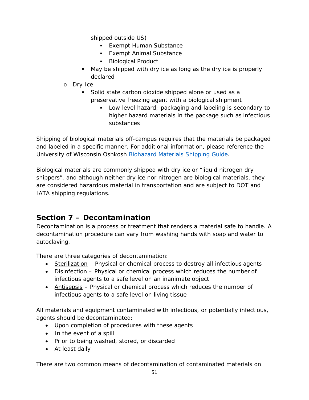shipped outside US)

- **Exempt Human Substance**
- **Exempt Animal Substance**
- **Biological Product**
- May be shipped with dry ice as long as the dry ice is properly declared
- o Dry Ice
	- Solid state carbon dioxide shipped alone or used as a preservative freezing agent with a biological shipment
		- Low level hazard; packaging and labeling is secondary to higher hazard materials in the package such as infectious substances

Shipping of biological materials off-campus requires that the materials be packaged and labeled in a specific manner. For additional information, please reference the University of Wisconsin Oshkosh [Biohazard Materials Shipping Guide.](https://uwosh.edu/sponsoredprograms/ibc/forms/)

Biological materials are commonly shipped with dry ice or "liquid nitrogen dry shippers", and although neither dry ice nor nitrogen are biological materials, they are considered hazardous material in transportation and are subject to DOT and IATA shipping regulations.

# **Section 7 – Decontamination**

Decontamination is a process or treatment that renders a material safe to handle. A decontamination procedure can vary from washing hands with soap and water to autoclaving.

There are three categories of decontamination:

- Sterilization Physical or chemical process to destroy all infectious agents
- Disinfection Physical or chemical process which reduces the number of infectious agents to a safe level on an inanimate object
- Antisepsis Physical or chemical process which reduces the number of infectious agents to a safe level on living tissue

All materials and equipment contaminated with infectious, or potentially infectious, agents should be decontaminated:

- Upon completion of procedures with these agents
- In the event of a spill
- Prior to being washed, stored, or discarded
- At least daily

There are two common means of decontamination of contaminated materials on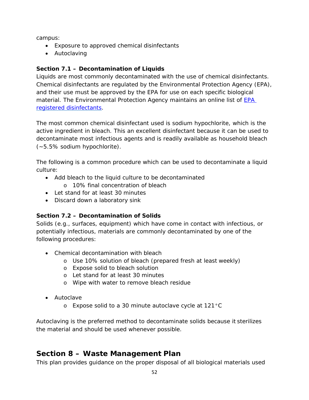campus:

- Exposure to approved chemical disinfectants
- Autoclaving

# **Section 7.1 – Decontamination of Liquids**

Liquids are most commonly decontaminated with the use of chemical disinfectants. Chemical disinfectants are regulated by the Environmental Protection Agency (EPA), and their use must be approved by the EPA for use on each specific biological material. The Environmental Protection Agency maintains an online list of **EPA** [registered disinfectants.](https://www.epa.gov/pesticide-registration/selected-epa-registered-disinfectants)

The most common chemical disinfectant used is sodium hypochlorite, which is the active ingredient in bleach. This an excellent disinfectant because it can be used to decontaminate most infectious agents and is readily available as household bleach (~5.5% sodium hypochlorite).

The following is a common procedure which can be used to decontaminate a liquid culture:

- Add bleach to the liquid culture to be decontaminated
	- o 10% final concentration of bleach
- Let stand for at least 30 minutes
- Discard down a laboratory sink

# **Section 7.2 – Decontamination of Solids**

Solids (e.g., surfaces, equipment) which have come in contact with infectious, or potentially infectious, materials are commonly decontaminated by one of the following procedures:

- Chemical decontamination with bleach
	- o Use 10% solution of bleach (prepared fresh at least weekly)
	- o Expose solid to bleach solution
	- o Let stand for at least 30 minutes
	- o Wipe with water to remove bleach residue
- Autoclave
	- o Expose solid to a 30 minute autoclave cycle at 121°C

Autoclaving is the preferred method to decontaminate solids because it sterilizes the material and should be used whenever possible.

# **Section 8 – Waste Management Plan**

This plan provides guidance on the proper disposal of all biological materials used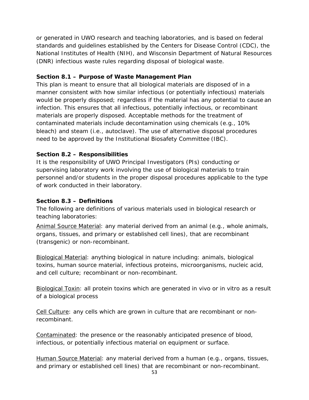or generated in UWO research and teaching laboratories, and is based on federal standards and guidelines established by the Centers for Disease Control (CDC), the National Institutes of Health (NIH), and Wisconsin Department of Natural Resources (DNR) infectious waste rules regarding disposal of biological waste.

## **Section 8.1 – Purpose of Waste Management Plan**

This plan is meant to ensure that all biological materials are disposed of in a manner consistent with how similar infectious (or potentially infectious) materials would be properly disposed; regardless if the material has any potential to cause an infection. This ensures that all infectious, potentially infectious, or recombinant materials are properly disposed. Acceptable methods for the treatment of contaminated materials include decontamination using chemicals (e.g., 10% bleach) and steam (i.e., autoclave). The use of alternative disposal procedures need to be approved by the Institutional Biosafety Committee (IBC).

### **Section 8.2 – Responsibilities**

It is the responsibility of UWO Principal Investigators (PIs) conducting or supervising laboratory work involving the use of biological materials to train personnel and/or students in the proper disposal procedures applicable to the type of work conducted in their laboratory.

#### **Section 8.3 – Definitions**

The following are definitions of various materials used in biological research or teaching laboratories:

Animal Source Material: any material derived from an animal (e.g., whole animals, organs, tissues, and primary or established cell lines), that are recombinant (transgenic) or non-recombinant.

Biological Material: anything biological in nature including: animals, biological toxins, human source material, infectious proteins, microorganisms, nucleic acid, and cell culture; recombinant or non-recombinant.

Biological Toxin: all protein toxins which are generated *in vivo* or *in vitro* as a result of a biological process

Cell Culture: any cells which are grown in culture that are recombinant or nonrecombinant.

Contaminated: the presence or the reasonably anticipated presence of blood, infectious, or potentially infectious material on equipment or surface.

Human Source Material: any material derived from a human (e.g., organs, tissues, and primary or established cell lines) that are recombinant or non-recombinant.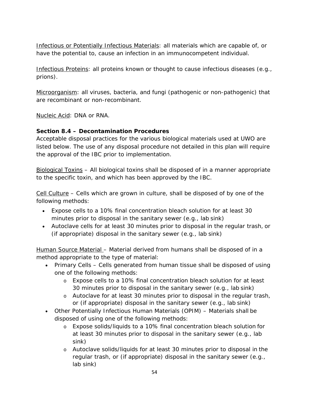Infectious or Potentially Infectious Materials: all materials which are capable of, or have the potential to, cause an infection in an immunocompetent individual.

Infectious Proteins: all proteins known or thought to cause infectious diseases (e.g., prions).

Microorganism: all viruses, bacteria, and fungi (pathogenic or non-pathogenic) that are recombinant or non-recombinant.

Nucleic Acid: DNA or RNA.

# **Section 8.4 – Decontamination Procedures**

Acceptable disposal practices for the various biological materials used at UWO are listed below. The use of any disposal procedure not detailed in this plan will require the approval of the IBC prior to implementation.

Biological Toxins – All biological toxins shall be disposed of in a manner appropriate to the specific toxin, and which has been approved by the IBC.

Cell Culture – Cells which are grown in culture, shall be disposed of by one of the following methods:

- Expose cells to a 10% final concentration bleach solution for at least 30 minutes prior to disposal in the sanitary sewer (e.g., lab sink)
- Autoclave cells for at least 30 minutes prior to disposal in the regular trash, or (if appropriate) disposal in the sanitary sewer (e.g., lab sink)

Human Source Material – Material derived from humans shall be disposed of in a method appropriate to the type of material:

- Primary Cells Cells generated from human tissue shall be disposed of using one of the following methods:
	- o Expose cells to a 10% final concentration bleach solution for at least 30 minutes prior to disposal in the sanitary sewer (e.g., lab sink)
	- o Autoclave for at least 30 minutes prior to disposal in the regular trash, or (if appropriate) disposal in the sanitary sewer (e.g., lab sink)
- Other Potentially Infectious Human Materials (OPIM) Materials shall be disposed of using one of the following methods:
	- o Expose solids/liquids to a 10% final concentration bleach solution for at least 30 minutes prior to disposal in the sanitary sewer (e.g., lab sink)
	- o Autoclave solids/liquids for at least 30 minutes prior to disposal in the regular trash, or (if appropriate) disposal in the sanitary sewer (e.g., lab sink)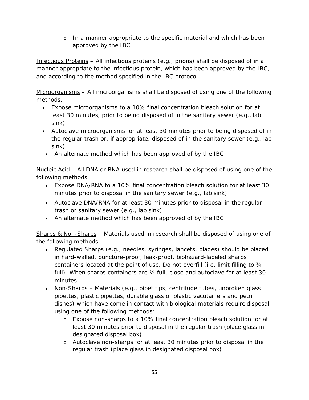o In a manner appropriate to the specific material and which has been approved by the IBC

Infectious Proteins – All infectious proteins (e.g., prions) shall be disposed of in a manner appropriate to the infectious protein, which has been approved by the IBC, and according to the method specified in the IBC protocol.

Microorganisms – All microorganisms shall be disposed of using one of the following methods:

- Expose microorganisms to a 10% final concentration bleach solution for at least 30 minutes, prior to being disposed of in the sanitary sewer (e.g., lab sink)
- Autoclave microorganisms for at least 30 minutes prior to being disposed of in the regular trash or, if appropriate, disposed of in the sanitary sewer (e.g., lab sink)
	- An alternate method which has been approved of by the IBC

Nucleic Acid – All DNA or RNA used in research shall be disposed of using one of the following methods:

- Expose DNA/RNA to a 10% final concentration bleach solution for at least 30 minutes prior to disposal in the sanitary sewer (e.g., lab sink)
- Autoclave DNA/RNA for at least 30 minutes prior to disposal in the regular trash or sanitary sewer (e.g., lab sink)
- An alternate method which has been approved of by the IBC

Sharps & Non-Sharps – Materials used in research shall be disposed of using one of the following methods:

- Regulated Sharps (e.g., needles, syringes, lancets, blades) should be placed in hard-walled, puncture-proof, leak-proof, biohazard-labeled sharps containers located at the point of use. Do not overfill (i.e. limit filling to ¾ full). When sharps containers are ¾ full, close and autoclave for at least 30 minutes.
- Non-Sharps Materials (e.g., pipet tips, centrifuge tubes, unbroken glass pipettes, plastic pipettes, durable glass or plastic vacutainers and petri dishes) which have come in contact with biological materials require disposal using one of the following methods:
	- o Expose non-sharps to a 10% final concentration bleach solution for at least 30 minutes prior to disposal in the regular trash (place glass in designated disposal box)
	- o Autoclave non-sharps for at least 30 minutes prior to disposal in the regular trash (place glass in designated disposal box)